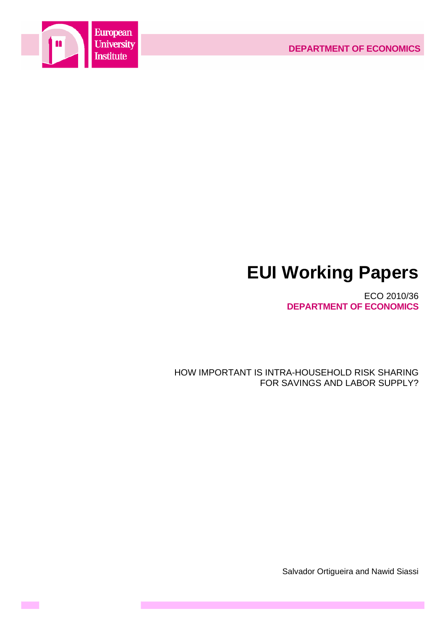



**Contract** 

# **EUI Working Papers**

ECO 2010/36 **DEPARTMENT OF ECONOMICS**

HOW IMPORTANT IS INTRA-HOUSEHOLD RISK SHARING FOR SAVINGS AND LABOR SUPPLY?

Salvador Ortigueira and Nawid Siassi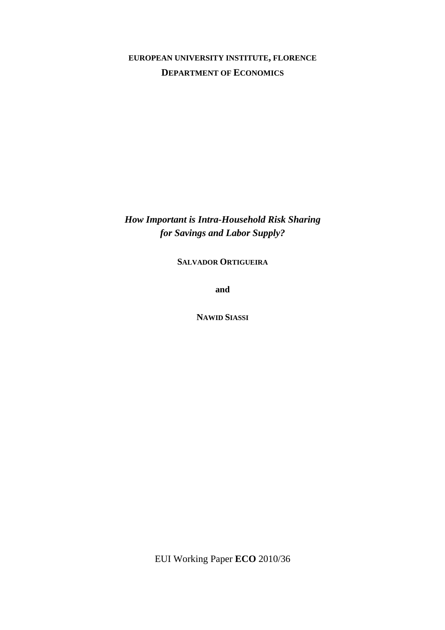# **EUROPEAN UNIVERSITY INSTITUTE, FLORENCE DEPARTMENT OF ECONOMICS**

*How Important is Intra-Household Risk Sharing for Savings and Labor Supply?* 

**SALVADOR ORTIGUEIRA**

**and** 

**NAWID SIASSI**

EUI Working Paper **ECO** 2010/36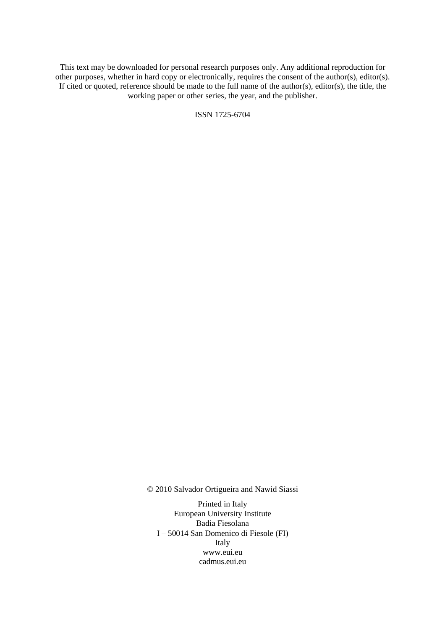This text may be downloaded for personal research purposes only. Any additional reproduction for other purposes, whether in hard copy or electronically, requires the consent of the author(s), editor(s). If cited or quoted, reference should be made to the full name of the author(s), editor(s), the title, the working paper or other series, the year, and the publisher.

ISSN 1725-6704

© 2010 Salvador Ortigueira and Nawid Siassi

Printed in Italy European University Institute Badia Fiesolana I – 50014 San Domenico di Fiesole (FI) Italy [www.eui.eu](http://www.eui.eu/)  [cadmus.eui.eu](http://www.eui.eu/)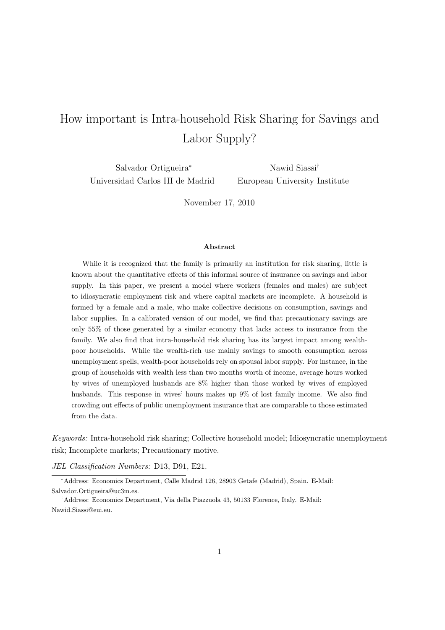# How important is Intra-household Risk Sharing for Savings and Labor Supply?

Salvador Ortigueira<sup>∗</sup> Universidad Carlos III de Madrid

Nawid Siassi† European University Institute

November 17, 2010

#### **Abstract**

While it is recognized that the family is primarily an institution for risk sharing, little is known about the quantitative effects of this informal source of insurance on savings and labor supply. In this paper, we present a model where workers (females and males) are subject to idiosyncratic employment risk and where capital markets are incomplete. A household is formed by a female and a male, who make collective decisions on consumption, savings and labor supplies. In a calibrated version of our model, we find that precautionary savings are only 55% of those generated by a similar economy that lacks access to insurance from the family. We also find that intra-household risk sharing has its largest impact among wealthpoor households. While the wealth-rich use mainly savings to smooth consumption across unemployment spells, wealth-poor households rely on spousal labor supply. For instance, in the group of households with wealth less than two months worth of income, average hours worked by wives of unemployed husbands are 8% higher than those worked by wives of employed husbands. This response in wives' hours makes up 9% of lost family income. We also find crowding out effects of public unemployment insurance that are comparable to those estimated from the data.

Keywords: Intra-household risk sharing; Collective household model; Idiosyncratic unemployment risk; Incomplete markets; Precautionary motive.

JEL Classification Numbers: D13, D91, E21.

<sup>∗</sup>Address: Economics Department, Calle Madrid 126, 28903 Getafe (Madrid), Spain. E-Mail: Salvador.Ortigueira@uc3m.es.

†Address: Economics Department, Via della Piazzuola 43, 50133 Florence, Italy. E-Mail: Nawid.Siassi@eui.eu.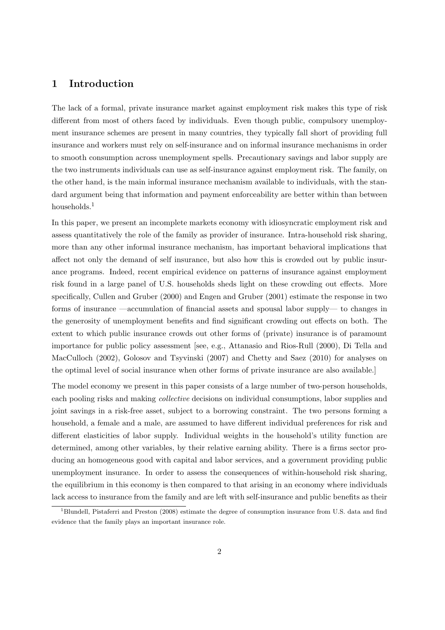# **1 Introduction**

The lack of a formal, private insurance market against employment risk makes this type of risk different from most of others faced by individuals. Even though public, compulsory unemployment insurance schemes are present in many countries, they typically fall short of providing full insurance and workers must rely on self-insurance and on informal insurance mechanisms in order to smooth consumption across unemployment spells. Precautionary savings and labor supply are the two instruments individuals can use as self-insurance against employment risk. The family, on the other hand, is the main informal insurance mechanism available to individuals, with the standard argument being that information and payment enforceability are better within than between households.<sup>1</sup>

In this paper, we present an incomplete markets economy with idiosyncratic employment risk and assess quantitatively the role of the family as provider of insurance. Intra-household risk sharing, more than any other informal insurance mechanism, has important behavioral implications that affect not only the demand of self insurance, but also how this is crowded out by public insurance programs. Indeed, recent empirical evidence on patterns of insurance against employment risk found in a large panel of U.S. households sheds light on these crowding out effects. More specifically, Cullen and Gruber (2000) and Engen and Gruber (2001) estimate the response in two forms of insurance —accumulation of financial assets and spousal labor supply— to changes in the generosity of unemployment benefits and find significant crowding out effects on both. The extent to which public insurance crowds out other forms of (private) insurance is of paramount importance for public policy assessment [see, e.g., Attanasio and Rios-Rull (2000), Di Tella and MacCulloch (2002), Golosov and Tsyvinski (2007) and Chetty and Saez (2010) for analyses on the optimal level of social insurance when other forms of private insurance are also available.]

The model economy we present in this paper consists of a large number of two-person households, each pooling risks and making collective decisions on individual consumptions, labor supplies and joint savings in a risk-free asset, subject to a borrowing constraint. The two persons forming a household, a female and a male, are assumed to have different individual preferences for risk and different elasticities of labor supply. Individual weights in the household's utility function are determined, among other variables, by their relative earning ability. There is a firms sector producing an homogeneous good with capital and labor services, and a government providing public unemployment insurance. In order to assess the consequences of within-household risk sharing, the equilibrium in this economy is then compared to that arising in an economy where individuals lack access to insurance from the family and are left with self-insurance and public benefits as their

<sup>1</sup>Blundell, Pistaferri and Preston (2008) estimate the degree of consumption insurance from U.S. data and find evidence that the family plays an important insurance role.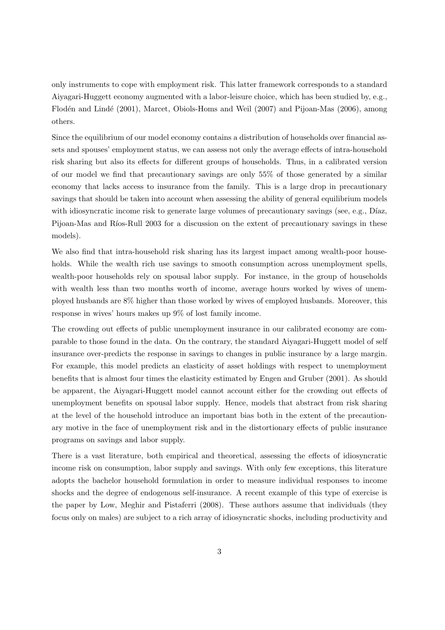only instruments to cope with employment risk. This latter framework corresponds to a standard Aiyagari-Huggett economy augmented with a labor-leisure choice, which has been studied by, e.g., Flodén and Lindé (2001), Marcet, Obiols-Homs and Weil (2007) and Pijoan-Mas (2006), among others.

Since the equilibrium of our model economy contains a distribution of households over financial assets and spouses' employment status, we can assess not only the average effects of intra-household risk sharing but also its effects for different groups of households. Thus, in a calibrated version of our model we find that precautionary savings are only 55% of those generated by a similar economy that lacks access to insurance from the family. This is a large drop in precautionary savings that should be taken into account when assessing the ability of general equilibrium models with idiosyncratic income risk to generate large volumes of precautionary savings (see, e.g., Díaz, Pijoan-Mas and Ríos-Rull 2003 for a discussion on the extent of precautionary savings in these models).

We also find that intra-household risk sharing has its largest impact among wealth-poor households. While the wealth rich use savings to smooth consumption across unemployment spells, wealth-poor households rely on spousal labor supply. For instance, in the group of households with wealth less than two months worth of income, average hours worked by wives of unemployed husbands are 8% higher than those worked by wives of employed husbands. Moreover, this response in wives' hours makes up 9% of lost family income.

The crowding out effects of public unemployment insurance in our calibrated economy are comparable to those found in the data. On the contrary, the standard Aiyagari-Huggett model of self insurance over-predicts the response in savings to changes in public insurance by a large margin. For example, this model predicts an elasticity of asset holdings with respect to unemployment benefits that is almost four times the elasticity estimated by Engen and Gruber (2001). As should be apparent, the Aiyagari-Huggett model cannot account either for the crowding out effects of unemployment benefits on spousal labor supply. Hence, models that abstract from risk sharing at the level of the household introduce an important bias both in the extent of the precautionary motive in the face of unemployment risk and in the distortionary effects of public insurance programs on savings and labor supply.

There is a vast literature, both empirical and theoretical, assessing the effects of idiosyncratic income risk on consumption, labor supply and savings. With only few exceptions, this literature adopts the bachelor household formulation in order to measure individual responses to income shocks and the degree of endogenous self-insurance. A recent example of this type of exercise is the paper by Low, Meghir and Pistaferri (2008). These authors assume that individuals (they focus only on males) are subject to a rich array of idiosyncratic shocks, including productivity and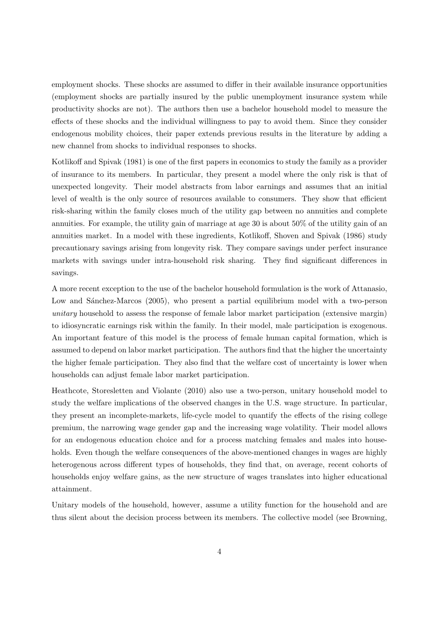employment shocks. These shocks are assumed to differ in their available insurance opportunities (employment shocks are partially insured by the public unemployment insurance system while productivity shocks are not). The authors then use a bachelor household model to measure the effects of these shocks and the individual willingness to pay to avoid them. Since they consider endogenous mobility choices, their paper extends previous results in the literature by adding a new channel from shocks to individual responses to shocks.

Kotlikoff and Spivak (1981) is one of the first papers in economics to study the family as a provider of insurance to its members. In particular, they present a model where the only risk is that of unexpected longevity. Their model abstracts from labor earnings and assumes that an initial level of wealth is the only source of resources available to consumers. They show that efficient risk-sharing within the family closes much of the utility gap between no annuities and complete annuities. For example, the utility gain of marriage at age 30 is about 50% of the utility gain of an annuities market. In a model with these ingredients, Kotlikoff, Shoven and Spivak (1986) study precautionary savings arising from longevity risk. They compare savings under perfect insurance markets with savings under intra-household risk sharing. They find significant differences in savings.

A more recent exception to the use of the bachelor household formulation is the work of Attanasio, Low and Sánchez-Marcos (2005), who present a partial equilibrium model with a two-person unitary household to assess the response of female labor market participation (extensive margin) to idiosyncratic earnings risk within the family. In their model, male participation is exogenous. An important feature of this model is the process of female human capital formation, which is assumed to depend on labor market participation. The authors find that the higher the uncertainty the higher female participation. They also find that the welfare cost of uncertainty is lower when households can adjust female labor market participation.

Heathcote, Storesletten and Violante (2010) also use a two-person, unitary household model to study the welfare implications of the observed changes in the U.S. wage structure. In particular, they present an incomplete-markets, life-cycle model to quantify the effects of the rising college premium, the narrowing wage gender gap and the increasing wage volatility. Their model allows for an endogenous education choice and for a process matching females and males into households. Even though the welfare consequences of the above-mentioned changes in wages are highly heterogenous across different types of households, they find that, on average, recent cohorts of households enjoy welfare gains, as the new structure of wages translates into higher educational attainment.

Unitary models of the household, however, assume a utility function for the household and are thus silent about the decision process between its members. The collective model (see Browning,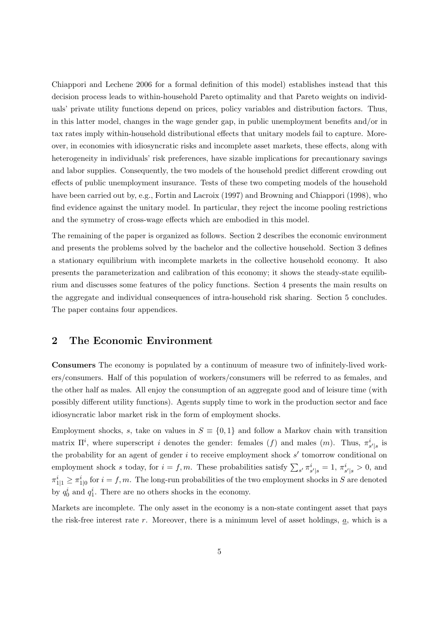Chiappori and Lechene 2006 for a formal definition of this model) establishes instead that this decision process leads to within-household Pareto optimality and that Pareto weights on individuals' private utility functions depend on prices, policy variables and distribution factors. Thus, in this latter model, changes in the wage gender gap, in public unemployment benefits and/or in tax rates imply within-household distributional effects that unitary models fail to capture. Moreover, in economies with idiosyncratic risks and incomplete asset markets, these effects, along with heterogeneity in individuals' risk preferences, have sizable implications for precautionary savings and labor supplies. Consequently, the two models of the household predict different crowding out effects of public unemployment insurance. Tests of these two competing models of the household have been carried out by, e.g., Fortin and Lacroix (1997) and Browning and Chiappori (1998), who find evidence against the unitary model. In particular, they reject the income pooling restrictions and the symmetry of cross-wage effects which are embodied in this model.

The remaining of the paper is organized as follows. Section 2 describes the economic environment and presents the problems solved by the bachelor and the collective household. Section 3 defines a stationary equilibrium with incomplete markets in the collective household economy. It also presents the parameterization and calibration of this economy; it shows the steady-state equilibrium and discusses some features of the policy functions. Section 4 presents the main results on the aggregate and individual consequences of intra-household risk sharing. Section 5 concludes. The paper contains four appendices.

### **2 The Economic Environment**

**Consumers** The economy is populated by a continuum of measure two of infinitely-lived workers/consumers. Half of this population of workers/consumers will be referred to as females, and the other half as males. All enjoy the consumption of an aggregate good and of leisure time (with possibly different utility functions). Agents supply time to work in the production sector and face idiosyncratic labor market risk in the form of employment shocks.

Employment shocks, s, take on values in  $S \equiv \{0,1\}$  and follow a Markov chain with transition matrix  $\Pi^i$ , where superscript i denotes the gender: females (f) and males (m). Thus,  $\pi^i_{s'|s}$  is the probability for an agent of gender  $i$  to receive employment shock  $s'$  tomorrow conditional on employment shock s today, for  $i = f, m$ . These probabilities satisfy  $\sum_{s'} \pi_{s'|s}^i = 1$ ,  $\pi_{s'|s}^i > 0$ , and  $\pi_{1|1}^i \geq \pi_{1|0}^i$  for  $i = f, m$ . The long-run probabilities of the two employment shocks in S are denoted by  $q_0^i$  and  $q_1^i$ . There are no others shocks in the economy.

Markets are incomplete. The only asset in the economy is a non-state contingent asset that pays the risk-free interest rate  $r$ . Moreover, there is a minimum level of asset holdings,  $a$ , which is a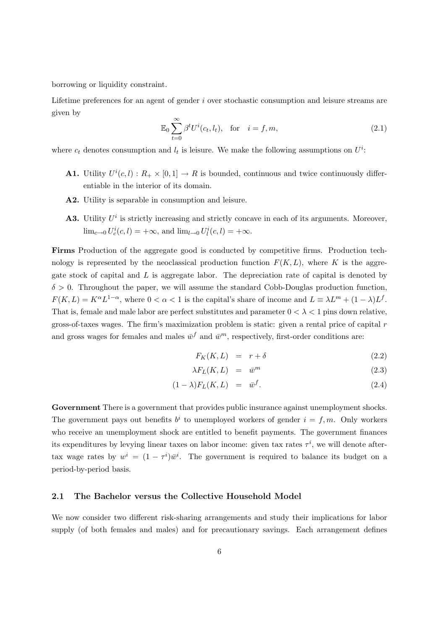borrowing or liquidity constraint.

Lifetime preferences for an agent of gender i over stochastic consumption and leisure streams are given by

$$
\mathbb{E}_0 \sum_{t=0}^{\infty} \beta^t U^i(c_t, l_t), \quad \text{for} \quad i = f, m,
$$
\n(2.1)

where  $c_t$  denotes consumption and  $l_t$  is leisure. We make the following assumptions on  $U^i$ :

- **A1.** Utility  $U^{i}(c, l) : R_{+} \times [0, 1] \to R$  is bounded, continuous and twice continuously differentiable in the interior of its domain.
- **A2.** Utility is separable in consumption and leisure.
- **A3.** Utility  $U^i$  is strictly increasing and strictly concave in each of its arguments. Moreover,  $\lim_{c \to 0} U_c^i(c, l) = +\infty$ , and  $\lim_{l \to 0} U_l^i(c, l) = +\infty$ .

**Firms** Production of the aggregate good is conducted by competitive firms. Production technology is represented by the neoclassical production function  $F(K, L)$ , where K is the aggregate stock of capital and  $L$  is aggregate labor. The depreciation rate of capital is denoted by  $\delta > 0$ . Throughout the paper, we will assume the standard Cobb-Douglas production function,  $F(K, L) = K^{\alpha} L^{1-\alpha}$ , where  $0 < \alpha < 1$  is the capital's share of income and  $L \equiv \lambda L^{m} + (1 - \lambda)L^{f}$ . That is, female and male labor are perfect substitutes and parameter  $0 < \lambda < 1$  pins down relative, gross-of-taxes wages. The firm's maximization problem is static: given a rental price of capital r and gross wages for females and males  $\bar{w}^f$  and  $\bar{w}^m$ , respectively, first-order conditions are:

$$
F_K(K, L) = r + \delta \tag{2.2}
$$

$$
\lambda F_L(K, L) = \bar{w}^m \tag{2.3}
$$

$$
(1 - \lambda)F_L(K, L) = \bar{w}^f. \tag{2.4}
$$

**Government** There is a government that provides public insurance against unemployment shocks. The government pays out benefits  $b^i$  to unemployed workers of gender  $i = f, m$ . Only workers who receive an unemployment shock are entitled to benefit payments. The government finances its expenditures by levying linear taxes on labor income: given tax rates  $\tau^i$ , we will denote aftertax wage rates by  $w^i = (1 - \tau^i)\bar{w}^i$ . The government is required to balance its budget on a period-by-period basis.

### **2.1 The Bachelor versus the Collective Household Model**

We now consider two different risk-sharing arrangements and study their implications for labor supply (of both females and males) and for precautionary savings. Each arrangement defines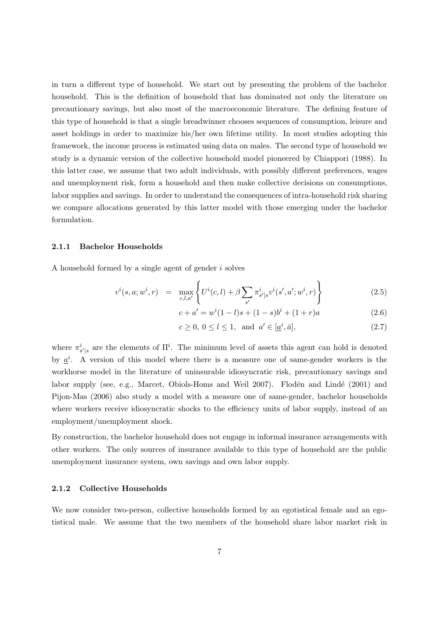in turn a different type of household. We start out by presenting the problem of the bachelor household. This is the definition of household that has dominated not only the literature on precautionary savings, but also most of the macroeconomic literature. The defining feature of this type of household is that a single breadwinner chooses sequences of consumption, leisure and asset holdings in order to maximize his/her own lifetime utility. In most studies adopting this framework, the income process is estimated using data on males. The second type of household we study is a dynamic version of the collective household model pioneered by Chiappori (1988). In this latter case, we assume that two adult individuals, with possibly different preferences, wages and unemployment risk, form a household and then make collective decisions on consumptions, labor supplies and savings. In order to understand the consequences of intra-household risk sharing we compare allocations generated by this latter model with those emerging under the bachelor formulation.

### **2.1.1 Bachelor Households**

A household formed by a single agent of gender i solves

$$
v^{i}(s, a; w^{i}, r) = \max_{c, l, a'} \left\{ U^{i}(c, l) + \beta \sum_{s'} \pi_{s'|s}^{i} v^{i}(s', a'; w^{i}, r) \right\}
$$
(2.5)

$$
c + a' = wi(1 - l)s + (1 - s)bi + (1 + r)a
$$
\n(2.6)

 $c \ge 0, 0 \le l \le 1, \text{ and } a' \in [\underline{a}^i, \overline{a}],$ (2.7)

where  $\pi_{s'|s}^i$  are the elements of  $\Pi^i$ . The minimum level of assets this agent can hold is denoted by  $\underline{a}^i$ . A version of this model where there is a measure one of same-gender workers is the workhorse model in the literature of uninsurable idiosyncratic risk, precautionary savings and labor supply (see, e.g., Marcet, Obiols-Homs and Weil 2007). Flodén and Lindé (2001) and Pijon-Mas (2006) also study a model with a measure one of same-gender, bachelor households where workers receive idiosyncratic shocks to the efficiency units of labor supply, instead of an employment/unemployment shock.

By construction, the bachelor household does not engage in informal insurance arrangements with other workers. The only sources of insurance available to this type of household are the public unemployment insurance system, own savings and own labor supply.

#### **2.1.2 Collective Households**

We now consider two-person, collective households formed by an egotistical female and an egotistical male. We assume that the two members of the household share labor market risk in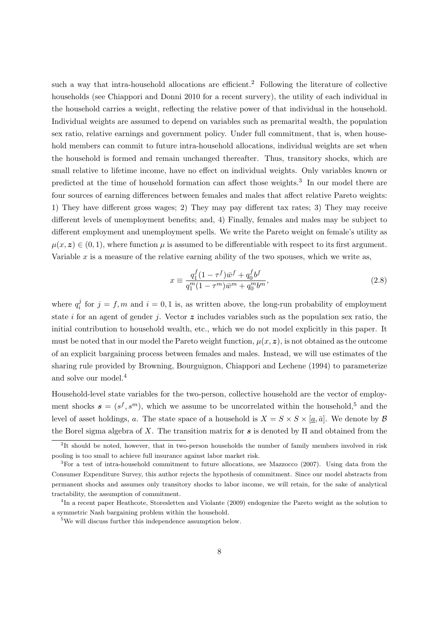such a way that intra-household allocations are efficient.<sup>2</sup> Following the literature of collective households (see Chiappori and Donni 2010 for a recent survery), the utility of each individual in the household carries a weight, reflecting the relative power of that individual in the household. Individual weights are assumed to depend on variables such as premarital wealth, the population sex ratio, relative earnings and government policy. Under full commitment, that is, when household members can commit to future intra-household allocations, individual weights are set when the household is formed and remain unchanged thereafter. Thus, transitory shocks, which are small relative to lifetime income, have no effect on individual weights. Only variables known or predicted at the time of household formation can affect those weights.<sup>3</sup> In our model there are four sources of earning differences between females and males that affect relative Pareto weights: 1) They have different gross wages; 2) They may pay different tax rates; 3) They may receive different levels of unemployment benefits; and, 4) Finally, females and males may be subject to different employment and unemployment spells. We write the Pareto weight on female's utility as  $\mu(x, z) \in (0, 1)$ , where function  $\mu$  is assumed to be differentiable with respect to its first argument. Variable  $x$  is a measure of the relative earning ability of the two spouses, which we write as,

$$
x \equiv \frac{q_1^f (1 - \tau^f)\bar{w}^f + q_0^f b^f}{q_1^m (1 - \tau^m)\bar{w}^m + q_0^m b^m},
$$
\n(2.8)

where  $q_i^j$  for  $j = f, m$  and  $i = 0, 1$  is, as written above, the long-run probability of employment state i for an agent of gender j. Vector *z* includes variables such as the population sex ratio, the initial contribution to household wealth, etc., which we do not model explicitly in this paper. It must be noted that in our model the Pareto weight function,  $\mu(x, z)$ , is not obtained as the outcome of an explicit bargaining process between females and males. Instead, we will use estimates of the sharing rule provided by Browning, Bourguignon, Chiappori and Lechene (1994) to parameterize and solve our model.<sup>4</sup>

Household-level state variables for the two-person, collective household are the vector of employment shocks  $\mathbf{s} = (s^f, s^m)$ , which we assume to be uncorrelated within the household,<sup>5</sup> and the level of asset holdings, a. The state space of a household is  $X = S \times S \times [a, \bar{a}]$ . We denote by  $\beta$ the Borel sigma algebra of X. The transition matrix for *s* is denoted by Π and obtained from the

<sup>&</sup>lt;sup>2</sup>It should be noted, however, that in two-person households the number of family members involved in risk pooling is too small to achieve full insurance against labor market risk.

<sup>3</sup>For a test of intra-household commitment to future allocations, see Mazzocco (2007). Using data from the Consumer Expenditure Survey, this author rejects the hypothesis of commitment. Since our model abstracts from permanent shocks and assumes only transitory shocks to labor income, we will retain, for the sake of analytical tractability, the assumption of commitment.

<sup>4</sup>In a recent paper Heathcote, Storesletten and Violante (2009) endogenize the Pareto weight as the solution to a symmetric Nash bargaining problem within the household.

<sup>&</sup>lt;sup>5</sup>We will discuss further this independence assumption below.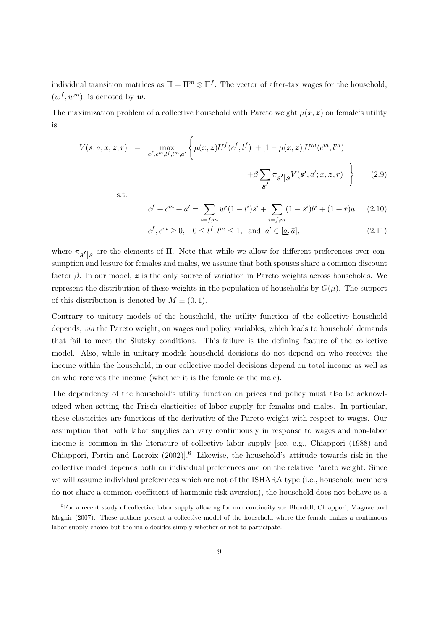individual transition matrices as  $\Pi = \Pi^m \otimes \Pi^f$ . The vector of after-tax wages for the household,  $(w^f, w^m)$ , is denoted by **w**.

The maximization problem of a collective household with Pareto weight  $\mu(x, z)$  on female's utility is

$$
V(\mathbf{s}, a; x, \mathbf{z}, r) = \max_{c^f, c^m, l^f, l^m, a'} \left\{ \mu(x, \mathbf{z}) U^f(c^f, l^f) + [1 - \mu(x, \mathbf{z})] U^m(c^m, l^m) + \beta \sum_{\mathbf{s'}} \pi_{\mathbf{s'}} |\mathbf{s}^V(\mathbf{s'}, a'; x, \mathbf{z}, r) \right\}
$$
(2.9)

s.t.

$$
c^{f} + c^{m} + a' = \sum_{i=f,m} w^{i} (1 - l^{i}) s^{i} + \sum_{i=f,m} (1 - s^{i}) b^{i} + (1 + r)a \qquad (2.10)
$$

$$
c^f, c^m \ge 0, \quad 0 \le l^f, l^m \le 1, \text{ and } a' \in [\underline{a}, \overline{a}],
$$
 (2.11)

where  $\pi_{s'}$ *<sup>|</sup><sup>s</sup>* are the elements of Π. Note that while we allow for different preferences over consumption and leisure for females and males, we assume that both spouses share a common discount factor  $\beta$ . In our model,  $\boldsymbol{z}$  is the only source of variation in Pareto weights across households. We represent the distribution of these weights in the population of households by  $G(\mu)$ . The support of this distribution is denoted by  $M \equiv (0, 1)$ .

Contrary to unitary models of the household, the utility function of the collective household depends, via the Pareto weight, on wages and policy variables, which leads to household demands that fail to meet the Slutsky conditions. This failure is the defining feature of the collective model. Also, while in unitary models household decisions do not depend on who receives the income within the household, in our collective model decisions depend on total income as well as on who receives the income (whether it is the female or the male).

The dependency of the household's utility function on prices and policy must also be acknowledged when setting the Frisch elasticities of labor supply for females and males. In particular, these elasticities are functions of the derivative of the Pareto weight with respect to wages. Our assumption that both labor supplies can vary continuously in response to wages and non-labor income is common in the literature of collective labor supply [see, e.g., Chiappori (1988) and Chiappori, Fortin and Lacroix  $(2002)$ <sup>6</sup> Likewise, the household's attitude towards risk in the collective model depends both on individual preferences and on the relative Pareto weight. Since we will assume individual preferences which are not of the ISHARA type (i.e., household members do not share a common coefficient of harmonic risk-aversion), the household does not behave as a

<sup>&</sup>lt;sup>6</sup>For a recent study of collective labor supply allowing for non continuity see Blundell, Chiappori, Magnac and Meghir (2007). These authors present a collective model of the household where the female makes a continuous labor supply choice but the male decides simply whether or not to participate.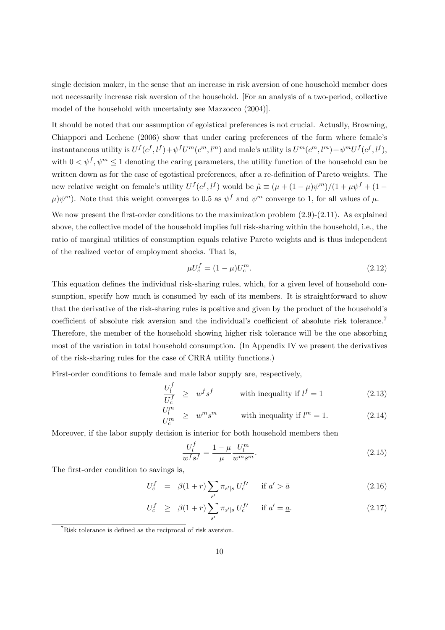single decision maker, in the sense that an increase in risk aversion of one household member does not necessarily increase risk aversion of the household. [For an analysis of a two-period, collective model of the household with uncertainty see Mazzocco (2004)].

It should be noted that our assumption of egoistical preferences is not crucial. Actually, Browning, Chiappori and Lechene (2006) show that under caring preferences of the form where female's instantaneous utility is  $U^f(c^f, l^f) + \psi^f U^m(c^m, l^m)$  and male's utility is  $U^m(c^m, l^m) + \psi^m U^f(c^f, l^f)$ , with  $0 < \psi^f, \psi^m \leq 1$  denoting the caring parameters, the utility function of the household can be written down as for the case of egotistical preferences, after a re-definition of Pareto weights. The new relative weight on female's utility  $U^f(c^f, l^f)$  would be  $\hat{\mu} \equiv (\mu + (1 - \mu)\psi^m)/(1 + \mu\psi^f + (1 \mu$ ) $\psi$ <sup>m</sup>). Note that this weight converges to 0.5 as  $\psi^f$  and  $\psi^m$  converge to 1, for all values of  $\mu$ .

We now present the first-order conditions to the maximization problem  $(2.9)-(2.11)$ . As explained above, the collective model of the household implies full risk-sharing within the household, i.e., the ratio of marginal utilities of consumption equals relative Pareto weights and is thus independent of the realized vector of employment shocks. That is,

$$
\mu U_c^f = (1 - \mu) U_c^m. \tag{2.12}
$$

This equation defines the individual risk-sharing rules, which, for a given level of household consumption, specify how much is consumed by each of its members. It is straightforward to show that the derivative of the risk-sharing rules is positive and given by the product of the household's coefficient of absolute risk aversion and the individual's coefficient of absolute risk tolerance.<sup>7</sup> Therefore, the member of the household showing higher risk tolerance will be the one absorbing most of the variation in total household consumption. (In Appendix IV we present the derivatives of the risk-sharing rules for the case of CRRA utility functions.)

First-order conditions to female and male labor supply are, respectively,

$$
\frac{U_l^f}{U_c^f} \geq w^f s^f \qquad \text{with inequality if } l^f = 1 \tag{2.13}
$$

$$
\frac{U_l^m}{U_c^m} \geq w^m s^m \qquad \text{with inequality if } l^m = 1. \tag{2.14}
$$

Moreover, if the labor supply decision is interior for both household members then

$$
\frac{U_l^f}{w^f s^f} = \frac{1 - \mu}{\mu} \frac{U_l^m}{w^m s^m}.
$$
\n(2.15)

The first-order condition to savings is,

$$
U_c^f = \beta(1+r) \sum_{s'} \pi_{s'|s} U_c^{f'} \quad \text{if } a' > \bar{a}
$$
 (2.16)

$$
U_c^f \geq \beta(1+r) \sum_{s'} \pi_{s'|s} U_c^{f'} \quad \text{if } a' = \underline{a}.
$$
 (2.17)

<sup>7</sup>Risk tolerance is defined as the reciprocal of risk aversion.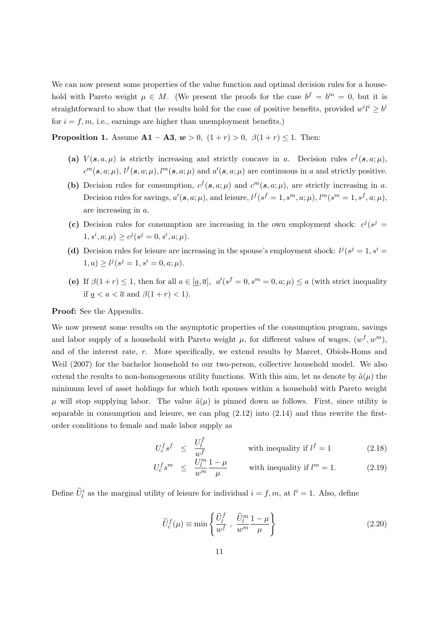We can now present some properties of the value function and optimal decision rules for a household with Pareto weight  $\mu \in M$ . (We present the proofs for the case  $b^f = b^m = 0$ , but it is straightforward to show that the results hold for the case of positive benefits, provided  $w^{i}l^{i} \geq b^{i}$ for  $i = f, m$ , i.e., earnings are higher than unemployment benefits.)

**Proposition 1.** Assume  $A1 - A3$ ,  $w > 0$ ,  $(1 + r) > 0$ ,  $\beta(1 + r) \le 1$ . Then:

- (a)  $V(s, a, \mu)$  is strictly increasing and strictly concave in a. Decision rules  $c^f(s, a; \mu)$ ,  $c^m(s, a; \mu)$ ,  $l^f(s, a; \mu)$ ,  $l^m(s, a; \mu)$  and  $a'(s, a; \mu)$  are continuous in a and strictly positive.
- **(b)** Decision rules for consumption,  $c^f(s, a; \mu)$  and  $c^m(s, a; \mu)$ , are strictly increasing in a. Decision rules for savings,  $a'(s, a; \mu)$ , and leisure,  $l^f(s^f = 1, s^m, a; \mu)$ ,  $l^m(s^m = 1, s^f, a; \mu)$ , are increasing in a.
- (c) Decision rules for consumption are increasing in the own employment shock:  $c^j(s^j =$  $1, s^i, a; \mu$   $\geq c^j (s^j = 0, s^i, a; \mu)$ .
- (d) Decision rules for leisure are increasing in the spouse's employment shock:  $l^j(s^j = 1, s^i =$  $1, a) \geq l^{j}(s^{j} = 1, s^{i} = 0, a; \mu).$
- (e) If  $\beta(1+r) \leq 1$ , then for all  $a \in [\underline{a}, \overline{a}]$ ,  $a'(s^f = 0, s^m = 0, a; \mu) \leq a$  (with strict inequality if  $a < a < \overline{a}$  and  $\beta(1+r) < 1$ .

**Proof:** See the Appendix.

We now present some results on the asymptotic properties of the consumption program, savings and labor supply of a household with Pareto weight  $\mu$ , for different values of wages,  $(w^f, w^m)$ , and of the interest rate, r. More specifically, we extend results by Marcet, Obiols-Homs and Weil (2007) for the bachelor household to our two-person, collective household model. We also extend the results to non-homogeneous utility functions. With this aim, let us denote by  $\tilde{a}(\mu)$  the minimum level of asset holdings for which both spouses within a household with Pareto weight  $\mu$  will stop supplying labor. The value  $\tilde{a}(\mu)$  is pinned down as follows. First, since utility is separable in consumption and leisure, we can plug  $(2.12)$  into  $(2.14)$  and thus rewrite the firstorder conditions to female and male labor supply as

$$
U_c^f s^f \leq \frac{U_l^f}{w^f} \qquad \text{with inequality if } l^f = 1 \tag{2.18}
$$

$$
U_c^f s^m \le \frac{\tilde{U}_l^m}{w^m} \frac{1-\mu}{\mu} \qquad \text{with inequality if } l^m = 1. \tag{2.19}
$$

Define  $\tilde{U}_l^i$  as the marginal utility of leisure for individual  $i = f, m$ , at  $l^i = 1$ . Also, define

$$
\widetilde{U}_c^f(\mu) \equiv \min \left\{ \frac{\widetilde{U}_l^f}{w^f} , \frac{\widetilde{U}_l^m}{w^m} \frac{1-\mu}{\mu} \right\} \tag{2.20}
$$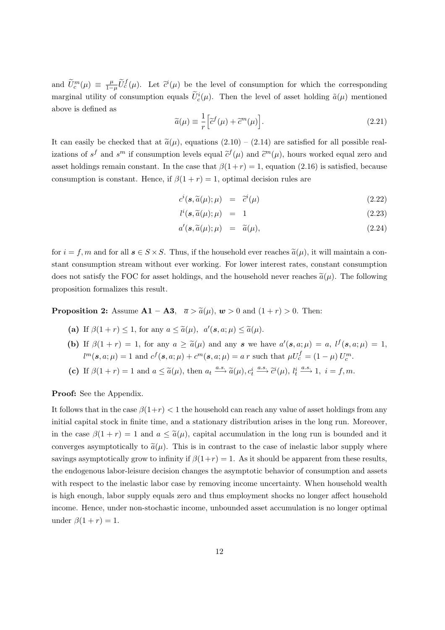and  $\widetilde{U}_c^m(\mu) \equiv \frac{\mu}{1-\mu} \widetilde{U}_c^f(\mu)$ . Let  $\widetilde{c}^i(\mu)$  be the level of consumption for which the corresponding marginal utility of consumption equals  $\tilde{U}_c^i(\mu)$ . Then the level of asset holding  $\tilde{a}(\mu)$  mentioned above is defined as

$$
\widetilde{a}(\mu) \equiv \frac{1}{r} \Big[ \widetilde{c}^f(\mu) + \widetilde{c}^m(\mu) \Big]. \tag{2.21}
$$

It can easily be checked that at  $\tilde{a}(\mu)$ , equations  $(2.10) - (2.14)$  are satisfied for all possible realizations of  $s^f$  and  $s^m$  if consumption levels equal  $\tilde{c}^f(\mu)$  and  $\tilde{c}^m(\mu)$ , hours worked equal zero and asset holdings remain constant. In the case that  $\beta(1+r) = 1$ , equation (2.16) is satisfied, because consumption is constant. Hence, if  $\beta(1+r) = 1$ , optimal decision rules are

$$
c^{i}(\mathbf{s}, \widetilde{a}(\mu); \mu) = \widetilde{c}^{i}(\mu) \qquad (2.22)
$$

$$
l^{i}(\mathbf{s}, \widetilde{a}(\mu); \mu) = 1 \tag{2.23}
$$

$$
a'(\mathbf{s}, \widetilde{a}(\mu); \mu) = \widetilde{a}(\mu), \tag{2.24}
$$

for  $i = f, m$  and for all  $s \in S \times S$ . Thus, if the household ever reaches  $\tilde{a}(\mu)$ , it will maintain a constant consumption stream without ever working. For lower interest rates, constant consumption does not satisfy the FOC for asset holdings, and the household never reaches  $\tilde{a}(\mu)$ . The following proposition formalizes this result.

**Proposition 2:** Assume  $\mathbf{A1} - \mathbf{A3}$ ,  $\overline{a} > \widetilde{a}(\mu)$ ,  $\boldsymbol{w} > 0$  and  $(1 + r) > 0$ . Then:

- (a) If  $\beta(1+r) \leq 1$ , for any  $a \leq \tilde{a}(\mu)$ ,  $a'(\mathbf{s}, a; \mu) \leq \tilde{a}(\mu)$ .
- **(b)** If  $\beta(1+r) = 1$ , for any  $a \ge \tilde{a}(\mu)$  and any *s* we have  $a'(s, a; \mu) = a$ ,  $l^f(s, a; \mu) = 1$ ,  $l^m(s, a; \mu) = 1$  and  $c^f(s, a; \mu) + c^m(s, a; \mu) = a r$  such that  $\mu U_c^f = (1 - \mu) U_c^m$ .
- (c) If  $\beta(1+r) = 1$  and  $a \leq \tilde{a}(\mu)$ , then  $a_t \stackrel{a.s.}{\longrightarrow} \tilde{a}(\mu)$ ,  $c_t^i$  $\stackrel{a.s.}{\longrightarrow} \tilde{c}^i(\mu), l_t^i$  $\xrightarrow{a.s.} 1, i = f, m.$

**Proof:** See the Appendix.

It follows that in the case  $\beta(1+r) < 1$  the household can reach any value of asset holdings from any initial capital stock in finite time, and a stationary distribution arises in the long run. Moreover, in the case  $\beta(1+r) = 1$  and  $a \leq \tilde{a}(\mu)$ , capital accumulation in the long run is bounded and it converges asymptotically to  $\tilde{a}(\mu)$ . This is in contrast to the case of inelastic labor supply where savings asymptotically grow to infinity if  $\beta(1+r) = 1$ . As it should be apparent from these results, the endogenous labor-leisure decision changes the asymptotic behavior of consumption and assets with respect to the inelastic labor case by removing income uncertainty. When household wealth is high enough, labor supply equals zero and thus employment shocks no longer affect household income. Hence, under non-stochastic income, unbounded asset accumulation is no longer optimal under  $\beta(1+r) = 1$ .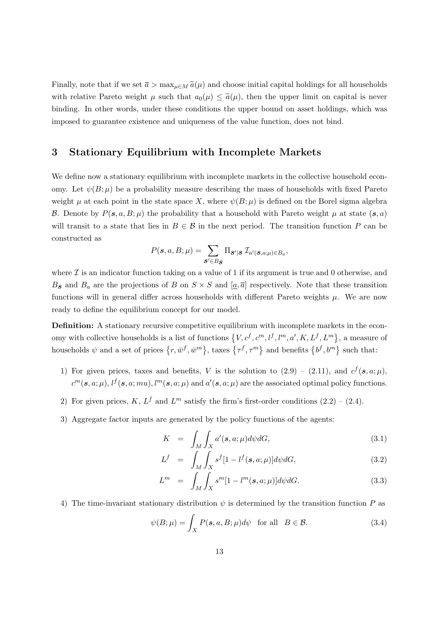Finally, note that if we set  $\bar{a} > \max_{\mu \in M} \tilde{a}(\mu)$  and choose initial capital holdings for all households with relative Pareto weight  $\mu$  such that  $a_0(\mu) \leq \tilde{a}(\mu)$ , then the upper limit on capital is never binding. In other words, under these conditions the upper bound on asset holdings, which was imposed to guarantee existence and uniqueness of the value function, does not bind.

# **3 Stationary Equilibrium with Incomplete Markets**

We define now a stationary equilibrium with incomplete markets in the collective household economy. Let  $\psi(B; \mu)$  be a probability measure describing the mass of households with fixed Pareto weight  $\mu$  at each point in the state space X, where  $\psi(B; \mu)$  is defined on the Borel sigma algebra B. Denote by  $P(s, a, B; \mu)$  the probability that a household with Pareto weight  $\mu$  at state  $(s, a)$ will transit to a state that lies in  $B \in \mathcal{B}$  in the next period. The transition function P can be constructed as

$$
P(\boldsymbol{s}, a, B; \mu) = \sum_{\boldsymbol{s}' \in B_{\boldsymbol{s}}} \Pi_{\boldsymbol{s}'}_{|\boldsymbol{s}} \mathcal{I}_{a'(\boldsymbol{s}, a; \mu) \in B_{a}},
$$

where  $\mathcal I$  is an indicator function taking on a value of 1 if its argument is true and 0 otherwise, and  $B_{\mathcal{S}}$  and  $B_a$  are the projections of B on  $S \times S$  and  $[a, \overline{a}]$  respectively. Note that these transition functions will in general differ across households with different Pareto weights  $\mu$ . We are now ready to define the equilibrium concept for our model.

**Definition:** A stationary recursive competitive equilibrium with incomplete markets in the economy with collective households is a list of functions  $\{V, c^f, c^m, l^f, l^m, a', K, L^f, L^m\}$ , a measure of households  $\psi$  and a set of prices  $\{r, \bar{w}^f, \bar{w}^m\}$ , taxes  $\{\tau^f, \tau^m\}$  and benefits  $\{b^f, b^m\}$  such that:

- 1) For given prices, taxes and benefits, V is the solution to  $(2.9) (2.11)$ , and  $c^f(s, a; \mu)$ ,  $c^m(s, a; \mu)$ ,  $l^f(s, a; mu)$ ,  $l^m(s, a; \mu)$  and  $a'(s, a; \mu)$  are the associated optimal policy functions.
- 2) For given prices, K,  $L^f$  and  $L^m$  satisfy the firm's first-order conditions  $(2.2) (2.4)$ .
- 3) Aggregate factor inputs are generated by the policy functions of the agents:

$$
K = \int_{M} \int_{X} a'(s, a; \mu) d\psi dG,
$$
\n(3.1)

$$
L^f = \int_M \int_X s^f [1 - l^f(\mathbf{s}, a; \mu)] d\psi dG,
$$
 (3.2)

$$
L^m = \int_M \int_X s^m [1 - l^m(s, a; \mu)] d\psi dG.
$$
 (3.3)

4) The time-invariant stationary distribution  $\psi$  is determined by the transition function P as

$$
\psi(B; \mu) = \int_X P(\mathbf{s}, a, B; \mu) d\psi \quad \text{for all} \quad B \in \mathcal{B}.
$$
 (3.4)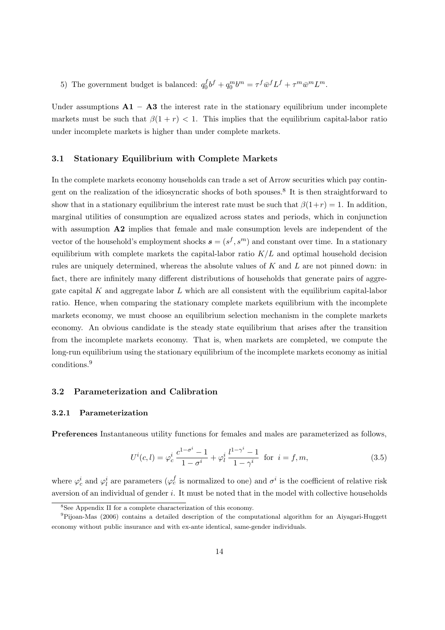5) The government budget is balanced:  $q_0^f b^f + q_0^m b^m = \tau^f \bar{w}^f L^f + \tau^m \bar{w}^m L^m$ .

Under assumptions  $\mathbf{A1} - \mathbf{A3}$  the interest rate in the stationary equilibrium under incomplete markets must be such that  $\beta(1 + r) < 1$ . This implies that the equilibrium capital-labor ratio under incomplete markets is higher than under complete markets.

### **3.1 Stationary Equilibrium with Complete Markets**

In the complete markets economy households can trade a set of Arrow securities which pay contingent on the realization of the idiosyncratic shocks of both spouses.<sup>8</sup> It is then straightforward to show that in a stationary equilibrium the interest rate must be such that  $\beta(1+r) = 1$ . In addition, marginal utilities of consumption are equalized across states and periods, which in conjunction with assumption **A2** implies that female and male consumption levels are independent of the vector of the household's employment shocks  $\mathbf{s} = (s^f, s^m)$  and constant over time. In a stationary equilibrium with complete markets the capital-labor ratio  $K/L$  and optimal household decision rules are uniquely determined, whereas the absolute values of  $K$  and  $L$  are not pinned down: in fact, there are infinitely many different distributions of households that generate pairs of aggregate capital K and aggregate labor  $L$  which are all consistent with the equilibrium capital-labor ratio. Hence, when comparing the stationary complete markets equilibrium with the incomplete markets economy, we must choose an equilibrium selection mechanism in the complete markets economy. An obvious candidate is the steady state equilibrium that arises after the transition from the incomplete markets economy. That is, when markets are completed, we compute the long-run equilibrium using the stationary equilibrium of the incomplete markets economy as initial conditions.<sup>9</sup>

### **3.2 Parameterization and Calibration**

### **3.2.1 Parameterization**

**Preferences** Instantaneous utility functions for females and males are parameterized as follows,

$$
U^{i}(c,l) = \varphi_c^{i} \frac{c^{1-\sigma^{i}} - 1}{1 - \sigma^{i}} + \varphi_l^{i} \frac{l^{1-\gamma^{i}} - 1}{1 - \gamma^{i}} \text{ for } i = f, m,
$$
\n(3.5)

where  $\varphi_c^i$  and  $\varphi_l^i$  are parameters ( $\varphi_c^f$  is normalized to one) and  $\sigma^i$  is the coefficient of relative risk aversion of an individual of gender  $i$ . It must be noted that in the model with collective households

<sup>8</sup>See Appendix II for a complete characterization of this economy.

<sup>9</sup>Pijoan-Mas (2006) contains a detailed description of the computational algorithm for an Aiyagari-Huggett economy without public insurance and with ex-ante identical, same-gender individuals.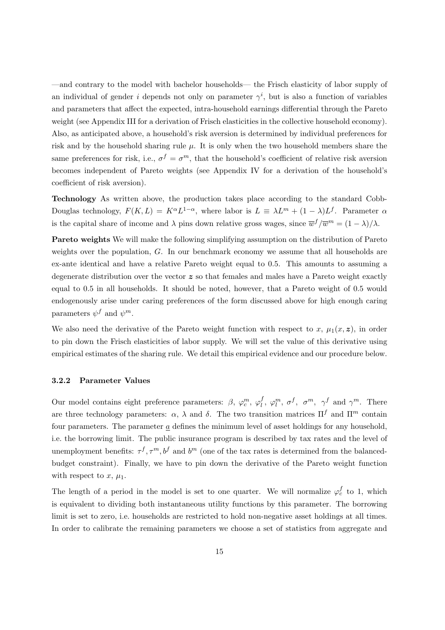—and contrary to the model with bachelor households— the Frisch elasticity of labor supply of an individual of gender *i* depends not only on parameter  $\gamma^i$ , but is also a function of variables and parameters that affect the expected, intra-household earnings differential through the Pareto weight (see Appendix III for a derivation of Frisch elasticities in the collective household economy). Also, as anticipated above, a household's risk aversion is determined by individual preferences for risk and by the household sharing rule  $\mu$ . It is only when the two household members share the same preferences for risk, i.e.,  $\sigma^f = \sigma^m$ , that the household's coefficient of relative risk aversion becomes independent of Pareto weights (see Appendix IV for a derivation of the household's coefficient of risk aversion).

**Technology** As written above, the production takes place according to the standard Cobb-Douglas technology,  $F(K, L) = K^{\alpha} L^{1-\alpha}$ , where labor is  $L = \lambda L^{m} + (1 - \lambda)L^{f}$ . Parameter  $\alpha$ is the capital share of income and  $\lambda$  pins down relative gross wages, since  $\overline{w}^f/\overline{w}^m = (1 - \lambda)/\lambda$ .

**Pareto weights** We will make the following simplifying assumption on the distribution of Pareto weights over the population, G. In our benchmark economy we assume that all households are ex-ante identical and have a relative Pareto weight equal to 0.5. This amounts to assuming a degenerate distribution over the vector *z* so that females and males have a Pareto weight exactly equal to 0.5 in all households. It should be noted, however, that a Pareto weight of 0.5 would endogenously arise under caring preferences of the form discussed above for high enough caring parameters  $\psi^f$  and  $\psi^m$ .

We also need the derivative of the Pareto weight function with respect to x,  $\mu_1(x, z)$ , in order to pin down the Frisch elasticities of labor supply. We will set the value of this derivative using empirical estimates of the sharing rule. We detail this empirical evidence and our procedure below.

### **3.2.2 Parameter Values**

Our model contains eight preference parameters:  $\beta$ ,  $\varphi_c^m$ ,  $\varphi_l^f$ ,  $\varphi_l^m$ ,  $\sigma^f$ ,  $\sigma^m$ ,  $\gamma^f$  and  $\gamma^m$ . There are three technology parameters:  $\alpha$ ,  $\lambda$  and  $\delta$ . The two transition matrices  $\Pi^f$  and  $\Pi^m$  contain four parameters. The parameter  $\underline{a}$  defines the minimum level of asset holdings for any household, i.e. the borrowing limit. The public insurance program is described by tax rates and the level of unemployment benefits:  $\tau^f, \tau^m, b^f$  and  $b^m$  (one of the tax rates is determined from the balancedbudget constraint). Finally, we have to pin down the derivative of the Pareto weight function with respect to x,  $\mu_1$ .

The length of a period in the model is set to one quarter. We will normalize  $\varphi_c^f$  to 1, which is equivalent to dividing both instantaneous utility functions by this parameter. The borrowing limit is set to zero, i.e. households are restricted to hold non-negative asset holdings at all times. In order to calibrate the remaining parameters we choose a set of statistics from aggregate and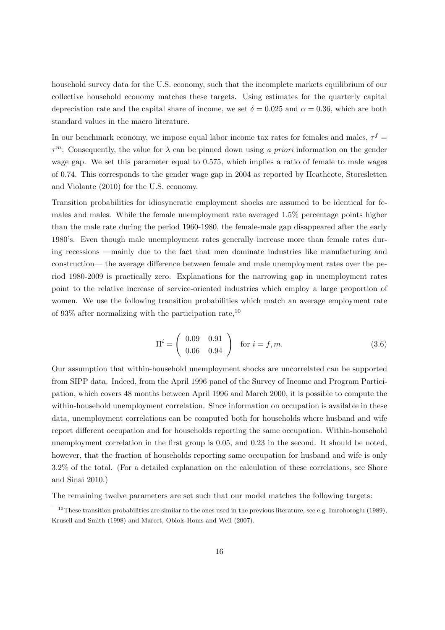household survey data for the U.S. economy, such that the incomplete markets equilibrium of our collective household economy matches these targets. Using estimates for the quarterly capital depreciation rate and the capital share of income, we set  $\delta = 0.025$  and  $\alpha = 0.36$ , which are both standard values in the macro literature.

In our benchmark economy, we impose equal labor income tax rates for females and males,  $\tau^f$  =  $\tau^m$ . Consequently, the value for  $\lambda$  can be pinned down using a priori information on the gender wage gap. We set this parameter equal to 0.575, which implies a ratio of female to male wages of 0.74. This corresponds to the gender wage gap in 2004 as reported by Heathcote, Storesletten and Violante (2010) for the U.S. economy.

Transition probabilities for idiosyncratic employment shocks are assumed to be identical for females and males. While the female unemployment rate averaged 1.5% percentage points higher than the male rate during the period 1960-1980, the female-male gap disappeared after the early 1980's. Even though male unemployment rates generally increase more than female rates during recessions —mainly due to the fact that men dominate industries like manufacturing and construction— the average difference between female and male unemployment rates over the period 1980-2009 is practically zero. Explanations for the narrowing gap in unemployment rates point to the relative increase of service-oriented industries which employ a large proportion of women. We use the following transition probabilities which match an average employment rate of 93\% after normalizing with the participation rate,  $^{10}$ 

$$
\Pi^{i} = \left( \begin{array}{cc} 0.09 & 0.91 \\ 0.06 & 0.94 \end{array} \right) \quad \text{for } i = f, m. \tag{3.6}
$$

Our assumption that within-household unemployment shocks are uncorrelated can be supported from SIPP data. Indeed, from the April 1996 panel of the Survey of Income and Program Participation, which covers 48 months between April 1996 and March 2000, it is possible to compute the within-household unemployment correlation. Since information on occupation is available in these data, unemployment correlations can be computed both for households where husband and wife report different occupation and for households reporting the same occupation. Within-household unemployment correlation in the first group is 0.05, and 0.23 in the second. It should be noted, however, that the fraction of households reporting same occupation for husband and wife is only 3.2% of the total. (For a detailed explanation on the calculation of these correlations, see Shore and Sinai 2010.)

The remaining twelve parameters are set such that our model matches the following targets:

<sup>&</sup>lt;sup>10</sup>These transition probabilities are similar to the ones used in the previous literature, see e.g. Imrohoroglu (1989), Krusell and Smith (1998) and Marcet, Obiols-Homs and Weil (2007).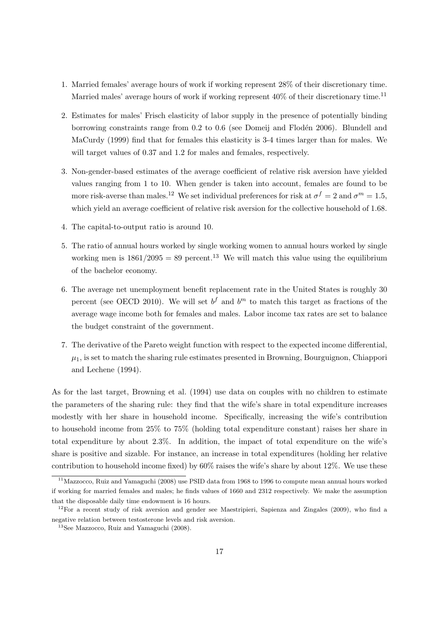- 1. Married females' average hours of work if working represent 28% of their discretionary time. Married males' average hours of work if working represent  $40\%$  of their discretionary time.<sup>11</sup>
- 2. Estimates for males' Frisch elasticity of labor supply in the presence of potentially binding borrowing constraints range from  $0.2$  to  $0.6$  (see Domeij and Flodén 2006). Blundell and MaCurdy (1999) find that for females this elasticity is 3-4 times larger than for males. We will target values of 0.37 and 1.2 for males and females, respectively.
- 3. Non-gender-based estimates of the average coefficient of relative risk aversion have yielded values ranging from 1 to 10. When gender is taken into account, females are found to be more risk-averse than males.<sup>12</sup> We set individual preferences for risk at  $\sigma^f = 2$  and  $\sigma^m = 1.5$ , which yield an average coefficient of relative risk aversion for the collective household of 1.68.
- 4. The capital-to-output ratio is around 10.
- 5. The ratio of annual hours worked by single working women to annual hours worked by single working men is  $1861/2095 = 89$  percent.<sup>13</sup> We will match this value using the equilibrium of the bachelor economy.
- 6. The average net unemployment benefit replacement rate in the United States is roughly 30 percent (see OECD 2010). We will set  $b^f$  and  $b^m$  to match this target as fractions of the average wage income both for females and males. Labor income tax rates are set to balance the budget constraint of the government.
- 7. The derivative of the Pareto weight function with respect to the expected income differential,  $\mu_1$ , is set to match the sharing rule estimates presented in Browning, Bourguignon, Chiappori and Lechene (1994).

As for the last target, Browning et al. (1994) use data on couples with no children to estimate the parameters of the sharing rule: they find that the wife's share in total expenditure increases modestly with her share in household income. Specifically, increasing the wife's contribution to household income from 25% to 75% (holding total expenditure constant) raises her share in total expenditure by about 2.3%. In addition, the impact of total expenditure on the wife's share is positive and sizable. For instance, an increase in total expenditures (holding her relative contribution to household income fixed) by 60% raises the wife's share by about 12%. We use these

<sup>11</sup>Mazzocco, Ruiz and Yamaguchi (2008) use PSID data from 1968 to 1996 to compute mean annual hours worked if working for married females and males; he finds values of 1660 and 2312 respectively. We make the assumption that the disposable daily time endowment is 16 hours.

 $12$ For a recent study of risk aversion and gender see Maestripieri, Sapienza and Zingales (2009), who find a negative relation between testosterone levels and risk aversion.

<sup>13</sup>See Mazzocco, Ruiz and Yamaguchi (2008).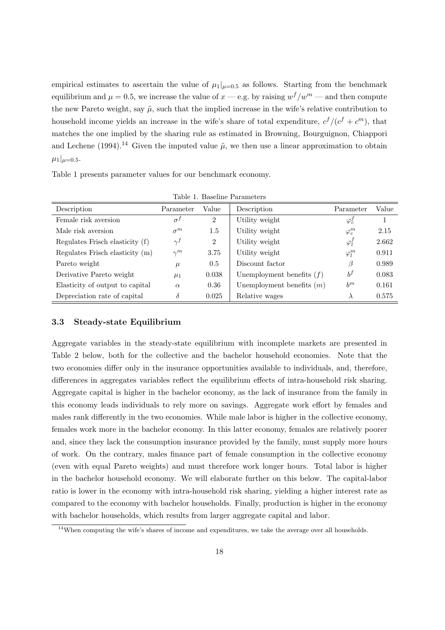empirical estimates to ascertain the value of  $\mu_1|_{\mu=0.5}$  as follows. Starting from the benchmark equilibrium and  $\mu = 0.5$ , we increase the value of  $x = e.g.$  by raising  $w^f/w^m$  — and then compute the new Pareto weight, say  $\tilde{\mu}$ , such that the implied increase in the wife's relative contribution to household income yields an increase in the wife's share of total expenditure,  $c^f/(c^f + c^m)$ , that matches the one implied by the sharing rule as estimated in Browning, Bourguignon, Chiappori and Lechene (1994).<sup>14</sup> Given the imputed value  $\tilde{\mu}$ , we then use a linear approximation to obtain  $\mu_1|_{\mu=0.5}$ .

Table 1 presents parameter values for our benchmark economy.

| Table L. Daseline Parameters    |              |                |                             |               |       |  |
|---------------------------------|--------------|----------------|-----------------------------|---------------|-------|--|
| Description                     | Parameter    | Value          | Description                 | Parameter     | Value |  |
| Female risk aversion            | $\sigma^{j}$ | $\overline{2}$ | Utility weight              | $\varphi_c^f$ |       |  |
| Male risk aversion              | $\sigma^m$   | 1.5            | Utility weight              | $\varphi_c^m$ | 2.15  |  |
| Regulates Frisch elasticity (f) | $\gamma^f$   | $\overline{2}$ | Utility weight              | $\varphi'_l$  | 2.662 |  |
| Regulates Frisch elasticity (m) | $\gamma^m$   | 3.75           | Utility weight              | $\varphi_l^m$ | 0.911 |  |
| Pareto weight                   | $\mu$        | 0.5            | Discount factor             | β             | 0.989 |  |
| Derivative Pareto weight        | $\mu_1$      | 0.038          | Unemployment benefits $(f)$ | $b^f$         | 0.083 |  |
| Elasticity of output to capital | $\alpha$     | 0.36           | Unemployment benefits $(m)$ | $b^m$         | 0.161 |  |
| Depreciation rate of capital    | δ            | 0.025          | Relative wages              | $\lambda$     | 0.575 |  |

 $T<sub>1</sub>$ ,  $1<sub>1</sub>$ ,  $D<sub>2</sub>$ ,  $1<sub>2</sub>$ ,  $D<sub>3</sub>$ ,  $D<sub>4</sub>$ ,  $D<sub>5</sub>$ 

### **3.3 Steady-state Equilibrium**

Aggregate variables in the steady-state equilibrium with incomplete markets are presented in Table 2 below, both for the collective and the bachelor household economies. Note that the two economies differ only in the insurance opportunities available to individuals, and, therefore, differences in aggregates variables reflect the equilibrium effects of intra-household risk sharing. Aggregate capital is higher in the bachelor economy, as the lack of insurance from the family in this economy leads individuals to rely more on savings. Aggregate work effort by females and males rank differently in the two economies. While male labor is higher in the collective economy, females work more in the bachelor economy. In this latter economy, females are relatively poorer and, since they lack the consumption insurance provided by the family, must supply more hours of work. On the contrary, males finance part of female consumption in the collective economy (even with equal Pareto weights) and must therefore work longer hours. Total labor is higher in the bachelor household economy. We will elaborate further on this below. The capital-labor ratio is lower in the economy with intra-household risk sharing, yielding a higher interest rate as compared to the economy with bachelor households. Finally, production is higher in the economy with bachelor households, which results from larger aggregate capital and labor.

<sup>&</sup>lt;sup>14</sup>When computing the wife's shares of income and expenditures, we take the average over all households.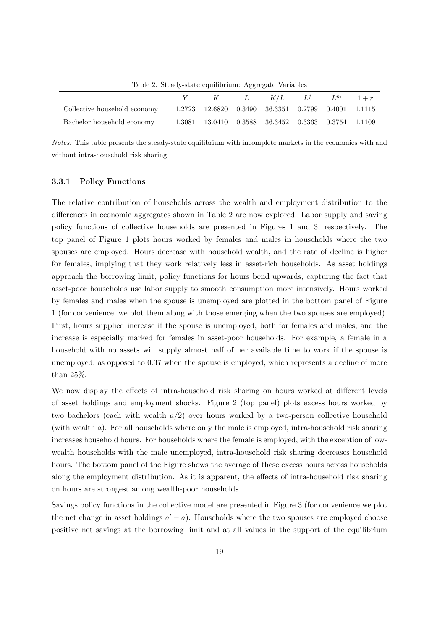$Y$  K L  $K/L$   $L^f$   $L^m$   $1+r$ Collective household economy 1.2723 12.6820 0.3490 36.3351 0.2799 0.4001 1.1115 Bachelor household economy 1.3081 13.0410 0.3588 36.3452 0.3363 0.3754 1.1109

Table 2. Steady-state equilibrium: Aggregate Variables

### **3.3.1 Policy Functions**

The relative contribution of households across the wealth and employment distribution to the differences in economic aggregates shown in Table 2 are now explored. Labor supply and saving policy functions of collective households are presented in Figures 1 and 3, respectively. The top panel of Figure 1 plots hours worked by females and males in households where the two spouses are employed. Hours decrease with household wealth, and the rate of decline is higher for females, implying that they work relatively less in asset-rich households. As asset holdings approach the borrowing limit, policy functions for hours bend upwards, capturing the fact that asset-poor households use labor supply to smooth consumption more intensively. Hours worked by females and males when the spouse is unemployed are plotted in the bottom panel of Figure 1 (for convenience, we plot them along with those emerging when the two spouses are employed). First, hours supplied increase if the spouse is unemployed, both for females and males, and the increase is especially marked for females in asset-poor households. For example, a female in a household with no assets will supply almost half of her available time to work if the spouse is unemployed, as opposed to 0.37 when the spouse is employed, which represents a decline of more than 25%.

We now display the effects of intra-household risk sharing on hours worked at different levels of asset holdings and employment shocks. Figure 2 (top panel) plots excess hours worked by two bachelors (each with wealth  $a/2$ ) over hours worked by a two-person collective household (with wealth a). For all households where only the male is employed, intra-household risk sharing increases household hours. For households where the female is employed, with the exception of lowwealth households with the male unemployed, intra-household risk sharing decreases household hours. The bottom panel of the Figure shows the average of these excess hours across households along the employment distribution. As it is apparent, the effects of intra-household risk sharing on hours are strongest among wealth-poor households.

Savings policy functions in the collective model are presented in Figure 3 (for convenience we plot the net change in asset holdings  $a' - a$ ). Households where the two spouses are employed choose positive net savings at the borrowing limit and at all values in the support of the equilibrium

Notes: This table presents the steady-state equilibrium with incomplete markets in the economies with and without intra-household risk sharing.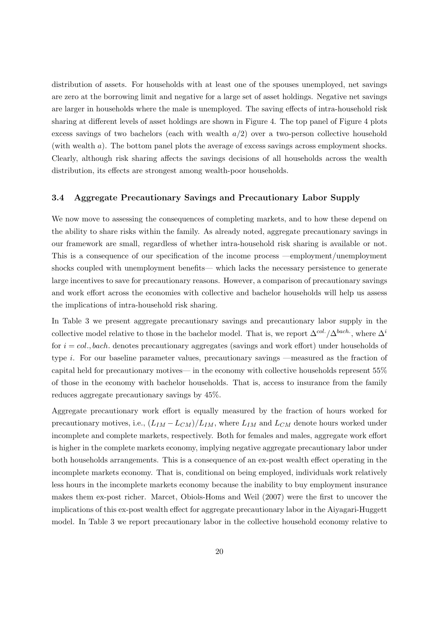distribution of assets. For households with at least one of the spouses unemployed, net savings are zero at the borrowing limit and negative for a large set of asset holdings. Negative net savings are larger in households where the male is unemployed. The saving effects of intra-household risk sharing at different levels of asset holdings are shown in Figure 4. The top panel of Figure 4 plots excess savings of two bachelors (each with wealth  $a/2$ ) over a two-person collective household (with wealth a). The bottom panel plots the average of excess savings across employment shocks. Clearly, although risk sharing affects the savings decisions of all households across the wealth distribution, its effects are strongest among wealth-poor households.

### **3.4 Aggregate Precautionary Savings and Precautionary Labor Supply**

We now move to assessing the consequences of completing markets, and to how these depend on the ability to share risks within the family. As already noted, aggregate precautionary savings in our framework are small, regardless of whether intra-household risk sharing is available or not. This is a consequence of our specification of the income process —employment/unemployment shocks coupled with unemployment benefits— which lacks the necessary persistence to generate large incentives to save for precautionary reasons. However, a comparison of precautionary savings and work effort across the economies with collective and bachelor households will help us assess the implications of intra-household risk sharing.

In Table 3 we present aggregate precautionary savings and precautionary labor supply in the collective model relative to those in the bachelor model. That is, we report  $\Delta^{col.}/\Delta^{bach.}$ , where  $\Delta^i$ for  $i = col.$ , bach. denotes precautionary aggregates (savings and work effort) under households of type i. For our baseline parameter values, precautionary savings —measured as the fraction of capital held for precautionary motives— in the economy with collective households represent 55% of those in the economy with bachelor households. That is, access to insurance from the family reduces aggregate precautionary savings by 45%.

Aggregate precautionary work effort is equally measured by the fraction of hours worked for precautionary motives, i.e.,  $(L_{IM} - L_{CM})/L_{IM}$ , where  $L_{IM}$  and  $L_{CM}$  denote hours worked under incomplete and complete markets, respectively. Both for females and males, aggregate work effort is higher in the complete markets economy, implying negative aggregate precautionary labor under both households arrangements. This is a consequence of an ex-post wealth effect operating in the incomplete markets economy. That is, conditional on being employed, individuals work relatively less hours in the incomplete markets economy because the inability to buy employment insurance makes them ex-post richer. Marcet, Obiols-Homs and Weil (2007) were the first to uncover the implications of this ex-post wealth effect for aggregate precautionary labor in the Aiyagari-Huggett model. In Table 3 we report precautionary labor in the collective household economy relative to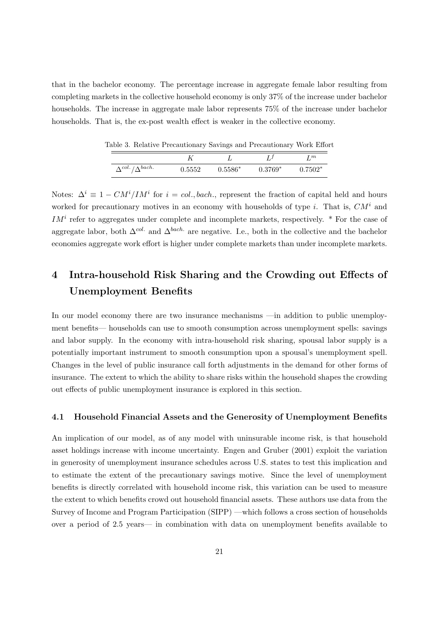that in the bachelor economy. The percentage increase in aggregate female labor resulting from completing markets in the collective household economy is only 37% of the increase under bachelor households. The increase in aggregate male labor represents 75% of the increase under bachelor households. That is, the ex-post wealth effect is weaker in the collective economy.

|                                | $\cdot$ | $\sim$    |           | $\sim$       |
|--------------------------------|---------|-----------|-----------|--------------|
|                                |         |           |           | rт           |
| $\Delta^{col.}/\Delta^{bach.}$ | 0.5552  | $0.5586*$ | $0.3769*$ | $0.7502^{*}$ |

Table 3. Relative Precautionary Savings and Precautionary Work Effort

Notes:  $\Delta^i \equiv 1 - CM^i / IM^i$  for  $i = col., back.,$  represent the fraction of capital held and hours worked for precautionary motives in an economy with households of type i. That is,  $CM<sup>i</sup>$  and  $IM<sup>i</sup>$  refer to aggregates under complete and incomplete markets, respectively. \* For the case of aggregate labor, both  $\Delta^{col.}$  and  $\Delta^{back.}$  are negative. I.e., both in the collective and the bachelor economies aggregate work effort is higher under complete markets than under incomplete markets.

# **4 Intra-household Risk Sharing and the Crowding out Effects of Unemployment Benefits**

In our model economy there are two insurance mechanisms —in addition to public unemployment benefits— households can use to smooth consumption across unemployment spells: savings and labor supply. In the economy with intra-household risk sharing, spousal labor supply is a potentially important instrument to smooth consumption upon a spousal's unemployment spell. Changes in the level of public insurance call forth adjustments in the demand for other forms of insurance. The extent to which the ability to share risks within the household shapes the crowding out effects of public unemployment insurance is explored in this section.

### **4.1 Household Financial Assets and the Generosity of Unemployment Benefits**

An implication of our model, as of any model with uninsurable income risk, is that household asset holdings increase with income uncertainty. Engen and Gruber (2001) exploit the variation in generosity of unemployment insurance schedules across U.S. states to test this implication and to estimate the extent of the precautionary savings motive. Since the level of unemployment benefits is directly correlated with household income risk, this variation can be used to measure the extent to which benefits crowd out household financial assets. These authors use data from the Survey of Income and Program Participation (SIPP) —which follows a cross section of households over a period of 2.5 years— in combination with data on unemployment benefits available to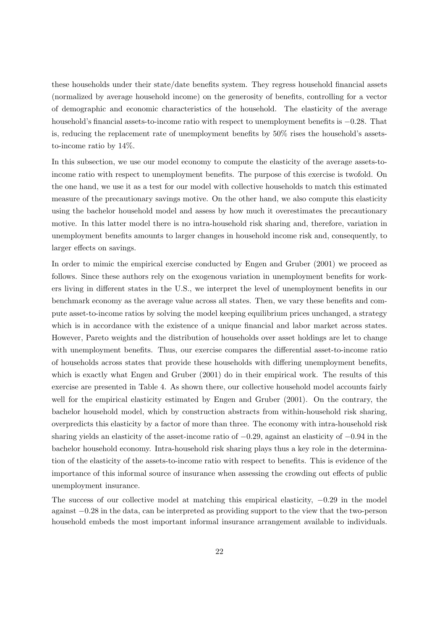these households under their state/date benefits system. They regress household financial assets (normalized by average household income) on the generosity of benefits, controlling for a vector of demographic and economic characteristics of the household. The elasticity of the average household's financial assets-to-income ratio with respect to unemployment benefits is −0.28. That is, reducing the replacement rate of unemployment benefits by 50% rises the household's assetsto-income ratio by 14%.

In this subsection, we use our model economy to compute the elasticity of the average assets-toincome ratio with respect to unemployment benefits. The purpose of this exercise is twofold. On the one hand, we use it as a test for our model with collective households to match this estimated measure of the precautionary savings motive. On the other hand, we also compute this elasticity using the bachelor household model and assess by how much it overestimates the precautionary motive. In this latter model there is no intra-household risk sharing and, therefore, variation in unemployment benefits amounts to larger changes in household income risk and, consequently, to larger effects on savings.

In order to mimic the empirical exercise conducted by Engen and Gruber (2001) we proceed as follows. Since these authors rely on the exogenous variation in unemployment benefits for workers living in different states in the U.S., we interpret the level of unemployment benefits in our benchmark economy as the average value across all states. Then, we vary these benefits and compute asset-to-income ratios by solving the model keeping equilibrium prices unchanged, a strategy which is in accordance with the existence of a unique financial and labor market across states. However, Pareto weights and the distribution of households over asset holdings are let to change with unemployment benefits. Thus, our exercise compares the differential asset-to-income ratio of households across states that provide these households with differing unemployment benefits, which is exactly what Engen and Gruber (2001) do in their empirical work. The results of this exercise are presented in Table 4. As shown there, our collective household model accounts fairly well for the empirical elasticity estimated by Engen and Gruber (2001). On the contrary, the bachelor household model, which by construction abstracts from within-household risk sharing, overpredicts this elasticity by a factor of more than three. The economy with intra-household risk sharing yields an elasticity of the asset-income ratio of −0.29, against an elasticity of −0.94 in the bachelor household economy. Intra-household risk sharing plays thus a key role in the determination of the elasticity of the assets-to-income ratio with respect to benefits. This is evidence of the importance of this informal source of insurance when assessing the crowding out effects of public unemployment insurance.

The success of our collective model at matching this empirical elasticity,  $-0.29$  in the model against −0.28 in the data, can be interpreted as providing support to the view that the two-person household embeds the most important informal insurance arrangement available to individuals.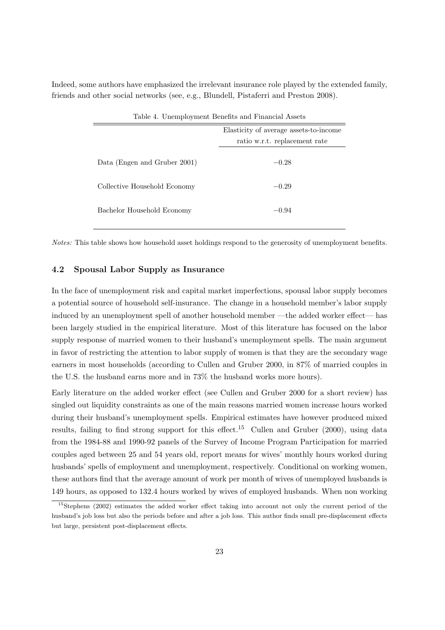Indeed, some authors have emphasized the irrelevant insurance role played by the extended family, friends and other social networks (see, e.g., Blundell, Pistaferri and Preston 2008).

| Table 4. Unemployment Benefits and Financial Assets |                                        |  |  |
|-----------------------------------------------------|----------------------------------------|--|--|
|                                                     | Elasticity of average assets-to-income |  |  |
|                                                     | ratio w.r.t. replacement rate          |  |  |
| Data (Engen and Gruber 2001)                        | $-0.28$                                |  |  |
| Collective Household Economy                        | $-0.29$                                |  |  |
| Bachelor Household Economy                          | $-0.94$                                |  |  |

Notes: This table shows how household asset holdings respond to the generosity of unemployment benefits.

### **4.2 Spousal Labor Supply as Insurance**

In the face of unemployment risk and capital market imperfections, spousal labor supply becomes a potential source of household self-insurance. The change in a household member's labor supply induced by an unemployment spell of another household member —the added worker effect— has been largely studied in the empirical literature. Most of this literature has focused on the labor supply response of married women to their husband's unemployment spells. The main argument in favor of restricting the attention to labor supply of women is that they are the secondary wage earners in most households (according to Cullen and Gruber 2000, in 87% of married couples in the U.S. the husband earns more and in 73% the husband works more hours).

Early literature on the added worker effect (see Cullen and Gruber 2000 for a short review) has singled out liquidity constraints as one of the main reasons married women increase hours worked during their husband's unemployment spells. Empirical estimates have however produced mixed results, failing to find strong support for this effect.<sup>15</sup> Cullen and Gruber (2000), using data from the 1984-88 and 1990-92 panels of the Survey of Income Program Participation for married couples aged between 25 and 54 years old, report means for wives' monthly hours worked during husbands' spells of employment and unemployment, respectively. Conditional on working women, these authors find that the average amount of work per month of wives of unemployed husbands is 149 hours, as opposed to 132.4 hours worked by wives of employed husbands. When non working

<sup>15</sup>Stephens (2002) estimates the added worker effect taking into account not only the current period of the husband's job loss but also the periods before and after a job loss. This author finds small pre-displacement effects but large, persistent post-displacement effects.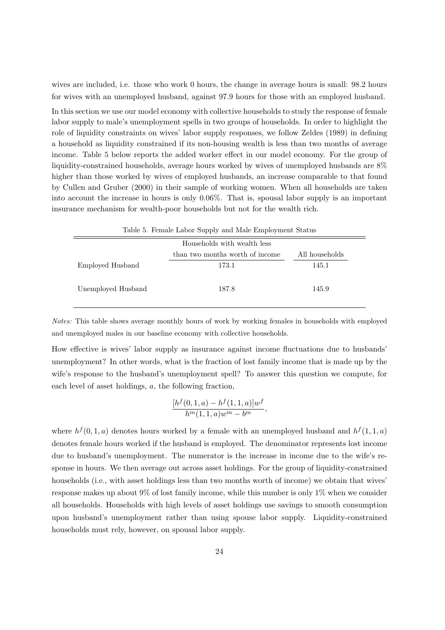wives are included, i.e. those who work 0 hours, the change in average hours is small: 98.2 hours for wives with an unemployed husband, against 97.9 hours for those with an employed husband.

In this section we use our model economy with collective households to study the response of female labor supply to male's unemployment spells in two groups of households. In order to highlight the role of liquidity constraints on wives' labor supply responses, we follow Zeldes (1989) in defining a household as liquidity constrained if its non-housing wealth is less than two months of average income. Table 5 below reports the added worker effect in our model economy. For the group of liquidity-constrained households, average hours worked by wives of unemployed husbands are 8% higher than those worked by wives of employed husbands, an increase comparable to that found by Cullen and Gruber (2000) in their sample of working women. When all households are taken into account the increase in hours is only 0.06%. That is, spousal labor supply is an important insurance mechanism for wealth-poor households but not for the wealth rich.

| Table 5. Female Labor Supply and Male Employment Status |                                 |                |  |  |
|---------------------------------------------------------|---------------------------------|----------------|--|--|
| Households with wealth less                             |                                 |                |  |  |
|                                                         | than two months worth of income | All households |  |  |
| Employed Husband                                        | 173.1                           | 145.1          |  |  |
| Unemployed Husband                                      | 187.8                           | 145.9          |  |  |

Notes: This table shows average monthly hours of work by working females in households with employed and unemployed males in our baseline economy with collective households.

How effective is wives' labor supply as insurance against income fluctuations due to husbands' unemployment? In other words, what is the fraction of lost family income that is made up by the wife's response to the husband's unemployment spell? To answer this question we compute, for each level of asset holdings, a, the following fraction,

$$
\frac{[h^f(0,1,a) - h^f(1,1,a)]w^f}{h^m(1,1,a)w^m - b^m},
$$

where  $h^{f}(0, 1, a)$  denotes hours worked by a female with an unemployed husband and  $h^{f}(1, 1, a)$ denotes female hours worked if the husband is employed. The denominator represents lost income due to husband's unemployment. The numerator is the increase in income due to the wife's response in hours. We then average out across asset holdings. For the group of liquidity-constrained households (i.e., with asset holdings less than two months worth of income) we obtain that wives' response makes up about 9% of lost family income, while this number is only 1% when we consider all households. Households with high levels of asset holdings use savings to smooth consumption upon husband's unemployment rather than using spouse labor supply. Liquidity-constrained households must rely, however, on spousal labor supply.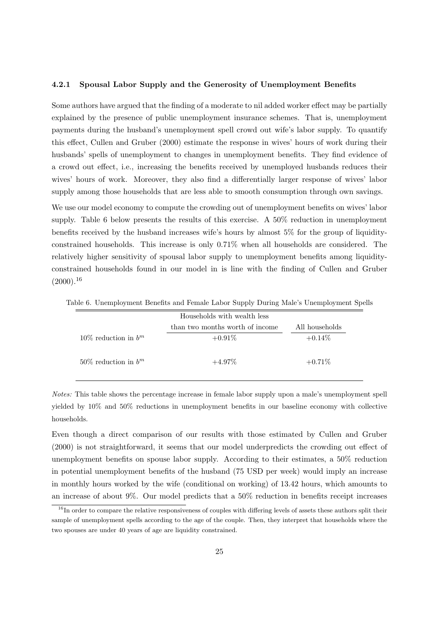#### **4.2.1 Spousal Labor Supply and the Generosity of Unemployment Benefits**

Some authors have argued that the finding of a moderate to nil added worker effect may be partially explained by the presence of public unemployment insurance schemes. That is, unemployment payments during the husband's unemployment spell crowd out wife's labor supply. To quantify this effect, Cullen and Gruber (2000) estimate the response in wives' hours of work during their husbands' spells of unemployment to changes in unemployment benefits. They find evidence of a crowd out effect, i.e., increasing the benefits received by unemployed husbands reduces their wives' hours of work. Moreover, they also find a differentially larger response of wives' labor supply among those households that are less able to smooth consumption through own savings.

We use our model economy to compute the crowding out of unemployment benefits on wives' labor supply. Table 6 below presents the results of this exercise. A 50% reduction in unemployment benefits received by the husband increases wife's hours by almost 5% for the group of liquidityconstrained households. This increase is only 0.71% when all households are considered. The relatively higher sensitivity of spousal labor supply to unemployment benefits among liquidityconstrained households found in our model in is line with the finding of Cullen and Gruber  $(2000).^{16}$ 

|                           | Households with wealth less     |                |
|---------------------------|---------------------------------|----------------|
|                           | than two months worth of income | All households |
| 10\% reduction in $b^m$   | $+0.91\%$                       | $+0.14\%$      |
| $50\%$ reduction in $b^m$ | $+4.97\%$                       | $+0.71\%$      |

Table 6. Unemployment Benefits and Female Labor Supply During Male's Unemployment Spells

Notes: This table shows the percentage increase in female labor supply upon a male's unemployment spell yielded by 10% and 50% reductions in unemployment benefits in our baseline economy with collective households.

Even though a direct comparison of our results with those estimated by Cullen and Gruber (2000) is not straightforward, it seems that our model underpredicts the crowding out effect of unemployment benefits on spouse labor supply. According to their estimates, a 50% reduction in potential unemployment benefits of the husband (75 USD per week) would imply an increase in monthly hours worked by the wife (conditional on working) of 13.42 hours, which amounts to an increase of about 9%. Our model predicts that a 50% reduction in benefits receipt increases

<sup>&</sup>lt;sup>16</sup>In order to compare the relative responsiveness of couples with differing levels of assets these authors split their sample of unemployment spells according to the age of the couple. Then, they interpret that households where the two spouses are under 40 years of age are liquidity constrained.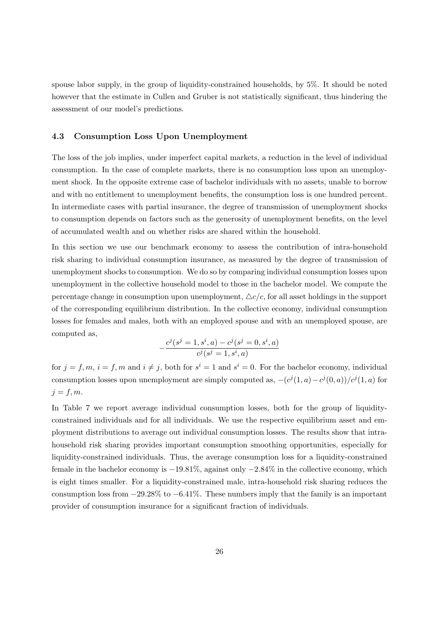spouse labor supply, in the group of liquidity-constrained households, by 5%. It should be noted however that the estimate in Cullen and Gruber is not statistically significant, thus hindering the assessment of our model's predictions.

### **4.3 Consumption Loss Upon Unemployment**

The loss of the job implies, under imperfect capital markets, a reduction in the level of individual consumption. In the case of complete markets, there is no consumption loss upon an unemployment shock. In the opposite extreme case of bachelor individuals with no assets, unable to borrow and with no entitlement to unemployment benefits, the consumption loss is one hundred percent. In intermediate cases with partial insurance, the degree of transmission of unemployment shocks to consumption depends on factors such as the generosity of unemployment benefits, on the level of accumulated wealth and on whether risks are shared within the household.

In this section we use our benchmark economy to assess the contribution of intra-household risk sharing to individual consumption insurance, as measured by the degree of transmission of unemployment shocks to consumption. We do so by comparing individual consumption losses upon unemployment in the collective household model to those in the bachelor model. We compute the percentage change in consumption upon unemployment,  $\Delta c/c$ , for all asset holdings in the support of the corresponding equilibrium distribution. In the collective economy, individual consumption losses for females and males, both with an employed spouse and with an unemployed spouse, are computed as,

$$
-\frac{c^j(s^j=1,s^i,a)-c^j(s^j=0,s^i,a)}{c^j(s^j=1,s^i,a)}
$$

for  $j = f, m, i = f, m$  and  $i \neq j$ , both for  $s^i = 1$  and  $s^i = 0$ . For the bachelor economy, individual consumption losses upon unemployment are simply computed as,  $-(c^{j}(1, a)-c^{j}(0, a))/c^{j}(1, a)$  for  $j = f, m$ .

In Table 7 we report average individual consumption losses, both for the group of liquidityconstrained individuals and for all individuals. We use the respective equilibrium asset and employment distributions to average out individual consumption losses. The results show that intrahousehold risk sharing provides important consumption smoothing opportunities, especially for liquidity-constrained individuals. Thus, the average consumption loss for a liquidity-constrained female in the bachelor economy is  $-19.81\%$ , against only  $-2.84\%$  in the collective economy, which is eight times smaller. For a liquidity-constrained male, intra-household risk sharing reduces the consumption loss from −29.28% to −6.41%. These numbers imply that the family is an important provider of consumption insurance for a significant fraction of individuals.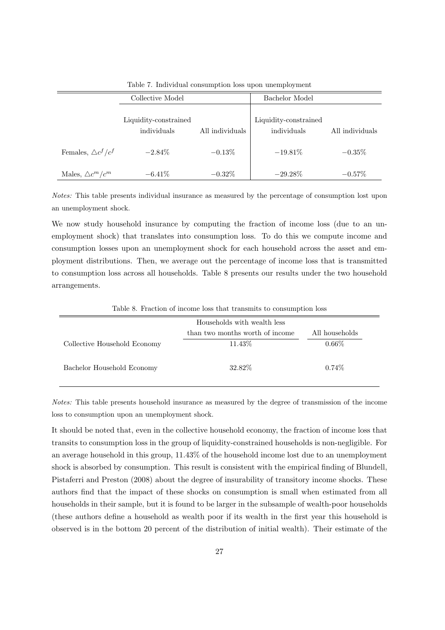|                              | Collective Model                     |                 | Bachelor Model                       |                 |
|------------------------------|--------------------------------------|-----------------|--------------------------------------|-----------------|
|                              | Liquidity-constrained<br>individuals | All individuals | Liquidity-constrained<br>individuals | All individuals |
| Females, $\triangle c^f/c^f$ | $-2.84\%$                            | $-0.13\%$       | $-19.81\%$                           | $-0.35\%$       |
| Males, $\triangle c^m/c^m$   | $-6.41\%$                            | $-0.32\%$       | $-29.28\%$                           | $-0.57%$        |

Table 7. Individual consumption loss upon unemployment

Notes: This table presents individual insurance as measured by the percentage of consumption lost upon an unemployment shock.

We now study household insurance by computing the fraction of income loss (due to an unemployment shock) that translates into consumption loss. To do this we compute income and consumption losses upon an unemployment shock for each household across the asset and employment distributions. Then, we average out the percentage of income loss that is transmitted to consumption loss across all households. Table 8 presents our results under the two household arrangements.

|                              | Households with wealth less     |                |  |  |
|------------------------------|---------------------------------|----------------|--|--|
|                              | than two months worth of income | All households |  |  |
| Collective Household Economy | 11.43\%                         | $0.66\%$       |  |  |
|                              |                                 |                |  |  |
| Bachelor Household Economy   | 32.82\%                         | $0.74\%$       |  |  |
|                              |                                 |                |  |  |

Table 8. Fraction of income loss that transmits to consumption loss

Notes: This table presents household insurance as measured by the degree of transmission of the income loss to consumption upon an unemployment shock.

It should be noted that, even in the collective household economy, the fraction of income loss that transits to consumption loss in the group of liquidity-constrained households is non-negligible. For an average household in this group, 11.43% of the household income lost due to an unemployment shock is absorbed by consumption. This result is consistent with the empirical finding of Blundell, Pistaferri and Preston (2008) about the degree of insurability of transitory income shocks. These authors find that the impact of these shocks on consumption is small when estimated from all households in their sample, but it is found to be larger in the subsample of wealth-poor households (these authors define a household as wealth poor if its wealth in the first year this household is observed is in the bottom 20 percent of the distribution of initial wealth). Their estimate of the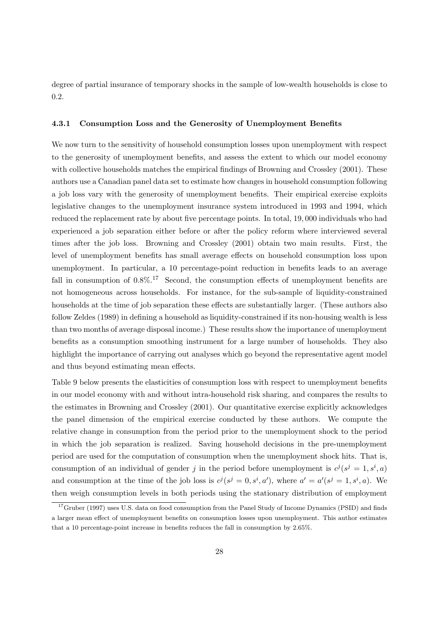degree of partial insurance of temporary shocks in the sample of low-wealth households is close to 0.2.

### **4.3.1 Consumption Loss and the Generosity of Unemployment Benefits**

We now turn to the sensitivity of household consumption losses upon unemployment with respect to the generosity of unemployment benefits, and assess the extent to which our model economy with collective households matches the empirical findings of Browning and Crossley (2001). These authors use a Canadian panel data set to estimate how changes in household consumption following a job loss vary with the generosity of unemployment benefits. Their empirical exercise exploits legislative changes to the unemployment insurance system introduced in 1993 and 1994, which reduced the replacement rate by about five percentage points. In total, 19, 000 individuals who had experienced a job separation either before or after the policy reform where interviewed several times after the job loss. Browning and Crossley (2001) obtain two main results. First, the level of unemployment benefits has small average effects on household consumption loss upon unemployment. In particular, a 10 percentage-point reduction in benefits leads to an average fall in consumption of  $0.8\%$ .<sup>17</sup> Second, the consumption effects of unemployment benefits are not homogeneous across households. For instance, for the sub-sample of liquidity-constrained households at the time of job separation these effects are substantially larger. (These authors also follow Zeldes (1989) in defining a household as liquidity-constrained if its non-housing wealth is less than two months of average disposal income.) These results show the importance of unemployment benefits as a consumption smoothing instrument for a large number of households. They also highlight the importance of carrying out analyses which go beyond the representative agent model and thus beyond estimating mean effects.

Table 9 below presents the elasticities of consumption loss with respect to unemployment benefits in our model economy with and without intra-household risk sharing, and compares the results to the estimates in Browning and Crossley (2001). Our quantitative exercise explicitly acknowledges the panel dimension of the empirical exercise conducted by these authors. We compute the relative change in consumption from the period prior to the unemployment shock to the period in which the job separation is realized. Saving household decisions in the pre-unemployment period are used for the computation of consumption when the unemployment shock hits. That is, consumption of an individual of gender j in the period before unemployment is  $c^{j}(s^{j} = 1, s^{i}, a)$ and consumption at the time of the job loss is  $c^j(s^j = 0, s^i, a')$ , where  $a' = a'(s^j = 1, s^i, a)$ . We then weigh consumption levels in both periods using the stationary distribution of employment

<sup>17</sup>Gruber (1997) uses U.S. data on food consumption from the Panel Study of Income Dynamics (PSID) and finds a larger mean effect of unemployment benefits on consumption losses upon unemployment. This author estimates that a 10 percentage-point increase in benefits reduces the fall in consumption by 2.65%.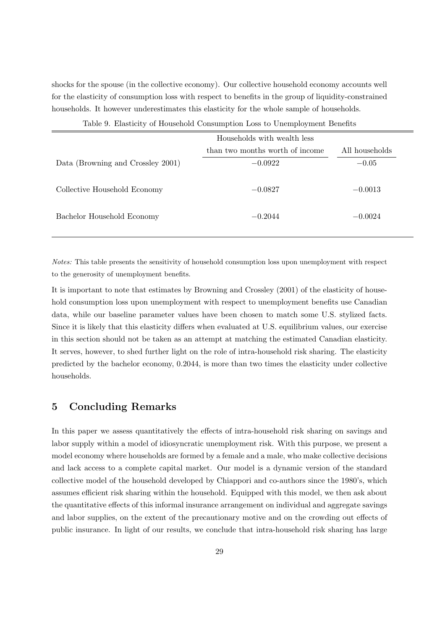shocks for the spouse (in the collective economy). Our collective household economy accounts well for the elasticity of consumption loss with respect to benefits in the group of liquidity-constrained households. It however underestimates this elasticity for the whole sample of households.

Table 9. Elasticity of Household Consumption Loss to Unemployment Benefits

|                                   | Households with wealth less     |                |
|-----------------------------------|---------------------------------|----------------|
|                                   | than two months worth of income | All households |
| Data (Browning and Crossley 2001) | $-0.0922$                       | $-0.05$        |
| Collective Household Economy      | $-0.0827$                       | $-0.0013$      |
| Bachelor Household Economy        | $-0.2044$                       | $-0.0024$      |

Notes: This table presents the sensitivity of household consumption loss upon unemployment with respect to the generosity of unemployment benefits.

It is important to note that estimates by Browning and Crossley (2001) of the elasticity of household consumption loss upon unemployment with respect to unemployment benefits use Canadian data, while our baseline parameter values have been chosen to match some U.S. stylized facts. Since it is likely that this elasticity differs when evaluated at U.S. equilibrium values, our exercise in this section should not be taken as an attempt at matching the estimated Canadian elasticity. It serves, however, to shed further light on the role of intra-household risk sharing. The elasticity predicted by the bachelor economy, 0.2044, is more than two times the elasticity under collective households.

# **5 Concluding Remarks**

In this paper we assess quantitatively the effects of intra-household risk sharing on savings and labor supply within a model of idiosyncratic unemployment risk. With this purpose, we present a model economy where households are formed by a female and a male, who make collective decisions and lack access to a complete capital market. Our model is a dynamic version of the standard collective model of the household developed by Chiappori and co-authors since the 1980's, which assumes efficient risk sharing within the household. Equipped with this model, we then ask about the quantitative effects of this informal insurance arrangement on individual and aggregate savings and labor supplies, on the extent of the precautionary motive and on the crowding out effects of public insurance. In light of our results, we conclude that intra-household risk sharing has large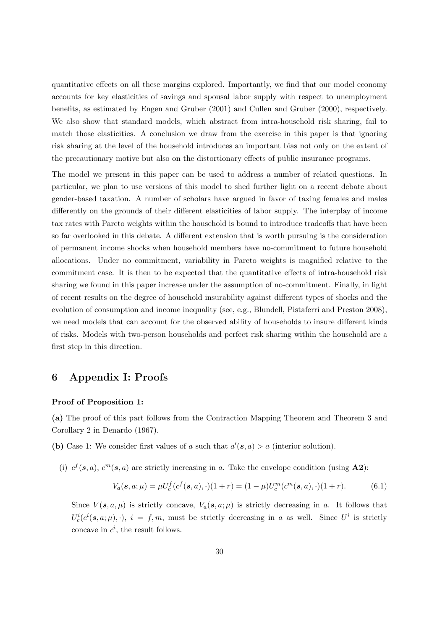quantitative effects on all these margins explored. Importantly, we find that our model economy accounts for key elasticities of savings and spousal labor supply with respect to unemployment benefits, as estimated by Engen and Gruber (2001) and Cullen and Gruber (2000), respectively. We also show that standard models, which abstract from intra-household risk sharing, fail to match those elasticities. A conclusion we draw from the exercise in this paper is that ignoring risk sharing at the level of the household introduces an important bias not only on the extent of the precautionary motive but also on the distortionary effects of public insurance programs.

The model we present in this paper can be used to address a number of related questions. In particular, we plan to use versions of this model to shed further light on a recent debate about gender-based taxation. A number of scholars have argued in favor of taxing females and males differently on the grounds of their different elasticities of labor supply. The interplay of income tax rates with Pareto weights within the household is bound to introduce tradeoffs that have been so far overlooked in this debate. A different extension that is worth pursuing is the consideration of permanent income shocks when household members have no-commitment to future household allocations. Under no commitment, variability in Pareto weights is magnified relative to the commitment case. It is then to be expected that the quantitative effects of intra-household risk sharing we found in this paper increase under the assumption of no-commitment. Finally, in light of recent results on the degree of household insurability against different types of shocks and the evolution of consumption and income inequality (see, e.g., Blundell, Pistaferri and Preston 2008), we need models that can account for the observed ability of households to insure different kinds of risks. Models with two-person households and perfect risk sharing within the household are a first step in this direction.

# **6 Appendix I: Proofs**

### **Proof of Proposition 1:**

**(a)** The proof of this part follows from the Contraction Mapping Theorem and Theorem 3 and Corollary 2 in Denardo (1967).

(b) Case 1: We consider first values of a such that  $a'(s, a) > a$  (interior solution).

(i)  $c^f(\mathbf{s}, a)$ ,  $c^m(\mathbf{s}, a)$  are strictly increasing in a. Take the envelope condition (using **A2**):

$$
V_a(\mathbf{s}, a; \mu) = \mu U_c^f(c^f(\mathbf{s}, a), \cdot)(1+r) = (1-\mu)U_c^m(c^m(\mathbf{s}, a), \cdot)(1+r). \tag{6.1}
$$

Since  $V(\mathbf{s}, a, \mu)$  is strictly concave,  $V_a(\mathbf{s}, a; \mu)$  is strictly decreasing in a. It follows that  $U_c^i(c^i(s, a; \mu), \cdot)$ ,  $i = f, m$ , must be strictly decreasing in a as well. Since  $U^i$  is strictly concave in  $c^i$ , the result follows.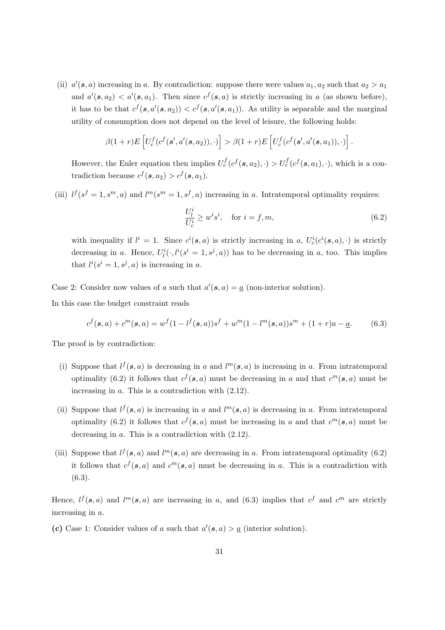(ii)  $a'(\mathbf{s}, a)$  increasing in a. By contradiction: suppose there were values  $a_1, a_2$  such that  $a_2 > a_1$ and  $a'(\mathbf{s}, a_2) < a'(\mathbf{s}, a_1)$ . Then since  $c^f(\mathbf{s}, a)$  is strictly increasing in a (as shown before), it has to be that  $c^f(s, a'(s, a_2)) < c^f(s, a'(s, a_1))$ . As utility is separable and the marginal utility of consumption does not depend on the level of leisure, the following holds:

$$
\beta(1+r)E\left[U_c^f(c^f(s',a'(s,a_2)),\cdot)\right] > \beta(1+r)E\left[U_c^f(c^f(s',a'(s,a_1)),\cdot)\right].
$$

However, the Euler equation then implies  $U_c^f(c^f(s, a_2), \cdot) > U_c^f(c^f(s, a_1), \cdot)$ , which is a contradiction because  $c^f(\mathbf{s}, a_2) > c^f(\mathbf{s}, a_1)$ .

(iii)  $l^f(s^f = 1, s^m, a)$  and  $l^m(s^m = 1, s^f, a)$  increasing in a. Intratemporal optimality requires:

$$
\frac{U_l^i}{U_c^i} \ge w^i s^i, \quad \text{for } i = f, m,
$$
\n(6.2)

with inequality if  $l^i = 1$ . Since  $c^i(s, a)$  is strictly increasing in a,  $U_c^i(c^i(s, a), \cdot)$  is strictly decreasing in a. Hence,  $U^i_l(\cdot, l^i(s^i = 1, s^j, a))$  has to be decreasing in a, too. This implies that  $l^i(s^i = 1, s^j, a)$  is increasing in a.

Case 2: Consider now values of a such that  $a'(s, a) = a$  (non-interior solution).

In this case the budget constraint reads

$$
c^{f}(\mathbf{s}, a) + c^{m}(\mathbf{s}, a) = w^{f}(1 - l^{f}(\mathbf{s}, a))s^{f} + w^{m}(1 - l^{m}(\mathbf{s}, a))s^{m} + (1 + r)a - \underline{a}.
$$
 (6.3)

The proof is by contradiction:

- (i) Suppose that  $l^f(s, a)$  is decreasing in a and  $l^m(s, a)$  is increasing in a. From intratemporal optimality (6.2) it follows that  $c^f(s, a)$  must be decreasing in a and that  $c^m(s, a)$  must be increasing in a. This is a contradiction with (2.12).
- (ii) Suppose that  $l^f(s, a)$  is increasing in a and  $l^m(s, a)$  is decreasing in a. From intratemporal optimality (6.2) it follows that  $c^f(s, a)$  must be increasing in a and that  $c^m(s, a)$  must be decreasing in a. This is a contradiction with (2.12).
- (iii) Suppose that  $l^f(s, a)$  and  $l^m(s, a)$  are decreasing in a. From intratemporal optimality (6.2) it follows that  $c^f(s, a)$  and  $c^m(s, a)$  must be decreasing in a. This is a contradiction with (6.3).

Hence,  $l^f(s, a)$  and  $l^m(s, a)$  are increasing in a, and (6.3) implies that  $c^f$  and  $c^m$  are strictly increasing in a.

(c) Case 1: Consider values of a such that  $a'(s, a) > a$  (interior solution).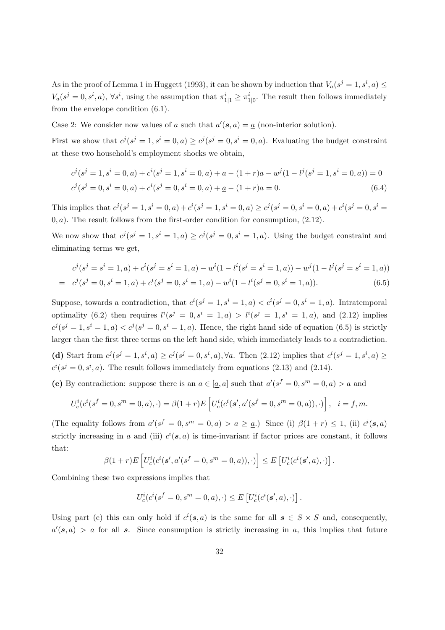As in the proof of Lemma 1 in Huggett (1993), it can be shown by induction that  $V_a(s^j = 1, s^i, a) \leq$  $V_a(s^j = 0, s^i, a)$ ,  $\forall s^i$ , using the assumption that  $\pi_{1|1}^i \geq \pi_{1|0}^i$ . The result then follows immediately from the envelope condition (6.1).

Case 2: We consider now values of a such that  $a'(s, a) = a$  (non-interior solution).

First we show that  $c^j$  ( $s^j = 1, s^i = 0, a$ )  $\ge c^j$  ( $s^j = 0, s^i = 0, a$ ). Evaluating the budget constraint at these two household's employment shocks we obtain,

$$
c^{j}(s^{j} = 1, s^{i} = 0, a) + c^{i}(s^{j} = 1, s^{i} = 0, a) + \underline{a} - (1+r)a - w^{j}(1 - l^{j}(s^{j} = 1, s^{i} = 0, a)) = 0
$$
  

$$
c^{j}(s^{j} = 0, s^{i} = 0, a) + c^{i}(s^{j} = 0, s^{i} = 0, a) + \underline{a} - (1+r)a = 0.
$$
 (6.4)

This implies that  $c^j(s^j = 1, s^i = 0, a) + c^i(s^j = 1, s^i = 0, a) \ge c^j(s^j = 0, s^i = 0, a) + c^i(s^j = 0, s^i = 0, a)$  $(0, a)$ . The result follows from the first-order condition for consumption,  $(2.12)$ .

We now show that  $c^j (s^j = 1, s^i = 1, a) \ge c^j (s^j = 0, s^i = 1, a)$ . Using the budget constraint and eliminating terms we get,

$$
c^{j}(s^{j} = s^{i} = 1, a) + c^{i}(s^{j} = s^{i} = 1, a) - w^{i}(1 - l^{i}(s^{j} = s^{i} = 1, a)) - w^{j}(1 - l^{j}(s^{j} = s^{i} = 1, a))
$$
  
= 
$$
c^{j}(s^{j} = 0, s^{i} = 1, a) + c^{i}(s^{j} = 0, s^{i} = 1, a) - w^{i}(1 - l^{i}(s^{j} = 0, s^{i} = 1, a)).
$$
 (6.5)

Suppose, towards a contradiction, that  $c^i(s^j = 1, s^i = 1, a) < c^i(s^j = 0, s^i = 1, a)$ . Intratemporal optimality (6.2) then requires  $l^i(s^j = 0, s^i = 1, a) > l^i(s^j = 1, s^i = 1, a)$ , and (2.12) implies  $c^j$ (s<sup>j</sup> = 1, s<sup>i</sup> = 1, a) <  $c^j$ (s<sup>j</sup> = 0, s<sup>i</sup> = 1, a). Hence, the right hand side of equation (6.5) is strictly larger than the first three terms on the left hand side, which immediately leads to a contradiction. (d) Start from  $c^j(s^j = 1, s^i, a) \ge c^j(s^j = 0, s^i, a)$ ,  $\forall a$ . Then (2.12) implies that  $c^i(s^j = 1, s^i, a) \ge c^j(s^j = 0, s^i, a)$  $c^{i}(s^{j}=0, s^{i}, a)$ . The result follows immediately from equations (2.13) and (2.14).

(e) By contradiction: suppose there is an  $a \in [\underline{a}, \overline{a}]$  such that  $a'(s^f = 0, s^m = 0, a) > a$  and

$$
U_c^i(c^i(s^f = 0, s^m = 0, a), \cdot) = \beta(1+r)E\left[U_c^i(c^i(s', a'(s^f = 0, s^m = 0, a)), \cdot)\right], \quad i = f, m.
$$

(The equality follows from  $a'(s^f = 0, s^m = 0, a) > a \ge a$ .) Since (i)  $\beta(1+r) \le 1$ , (ii)  $c^i(s, a)$ strictly increasing in a and (iii)  $c^{i}(s, a)$  is time-invariant if factor prices are constant, it follows that:

$$
\beta(1+r)E\left[U_c^i(c^i(s',a'(s^f=0,s^m=0,a)),\cdot)\right] \leq E\left[U_c^i(c^i(s',a),\cdot)\right].
$$

Combining these two expressions implies that

$$
U_c^i(c^i(s^f=0,s^m=0,a),\cdot)\leq E\left[U_c^i(c^i(s',a),\cdot)\right].
$$

Using part (c) this can only hold if  $c^i(s, a)$  is the same for all  $s \in S \times S$  and, consequently,  $a'(\mathbf{s}, a) > a$  for all **s**. Since consumption is strictly increasing in a, this implies that future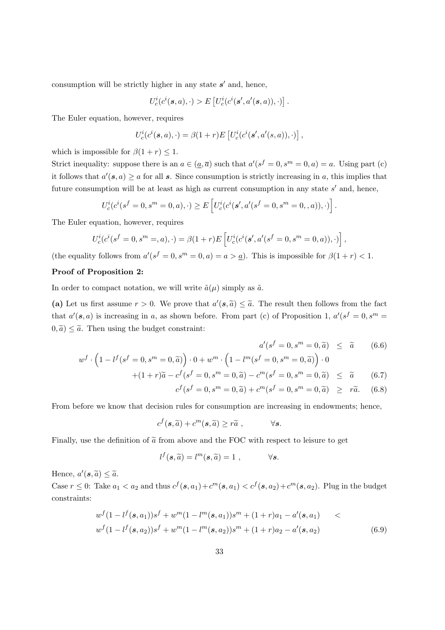consumption will be strictly higher in any state  $s'$  and, hence,

$$
U_c^i(c^i(\mathbf{s},a),\cdot) > E\left[U_c^i(c^i(\mathbf{s}',a'(\mathbf{s},a)),\cdot)\right]
$$

The Euler equation, however, requires

$$
U_c^i(c^i(\mathbf{s},a),\cdot) = \beta(1+r)E\left[U_c^i(c^i(\mathbf{s}',a'(s,a)),\cdot)\right],
$$

which is impossible for  $\beta(1+r) \leq 1$ .

Strict inequality: suppose there is an  $a \in (a, \overline{a})$  such that  $a'(s^f = 0, s^m = 0, a) = a$ . Using part (c) it follows that  $a'(s, a) \ge a$  for all s. Since consumption is strictly increasing in a, this implies that future consumption will be at least as high as current consumption in any state  $s'$  and, hence,

$$
U_c^i(c^i(s^f = 0, s^m = 0, a), \cdot) \ge E\left[U_c^i(c^i(s', a'(s^f = 0, s^m = 0, a)), \cdot)\right].
$$

The Euler equation, however, requires

$$
U_c^i(c^i(s^f = 0, s^m =, a), \cdot) = \beta(1+r)E\left[U_c^i(c^i(s', a'(s^f = 0, s^m = 0, a)), \cdot)\right],
$$

(the equality follows from  $a'(s^f = 0, s^m = 0, a) = a > a$ ). This is impossible for  $\beta(1+r) < 1$ .

### **Proof of Proposition 2:**

In order to compact notation, we will write  $\tilde{a}(\mu)$  simply as  $\tilde{a}$ .

(a) Let us first assume  $r > 0$ . We prove that  $a'(s, \tilde{a}) \leq \tilde{a}$ . The result then follows from the fact that  $a'(s, a)$  is increasing in a, as shown before. From part (c) of Proposition 1,  $a'(s^f = 0, s^m =$  $(0, \tilde{a}) \leq \tilde{a}$ . Then using the budget constraint:

$$
a'(s^f = 0, s^m = 0, \tilde{a}) \leq \tilde{a} \qquad (6.6)
$$

.

$$
w^{f} \cdot \left(1 - l^{f}(s^{f} = 0, s^{m} = 0, \tilde{a})\right) \cdot 0 + w^{m} \cdot \left(1 - l^{m}(s^{f} = 0, s^{m} = 0, \tilde{a})\right) \cdot 0
$$
  
+(1 + r)\tilde{a} - c^{f}(s^{f} = 0, s^{m} = 0, \tilde{a}) - c^{m}(s^{f} = 0, s^{m} = 0, \tilde{a}) < \tilde{a} (6)

$$
+(1+r)\tilde{a} - c^f(s^f = 0, s^m = 0, \tilde{a}) - c^m(s^f = 0, s^m = 0, \tilde{a}) \leq \tilde{a}
$$
 (6.7)  

$$
c^f(s^f = 0, s^m = 0, \tilde{a}) + c^m(s^f = 0, s^m = 0, \tilde{a}) \geq r\tilde{a}.
$$
 (6.8)

From before we know that decision rules for consumption are increasing in endowments; hence,

$$
c^f(\mathbf{s}, \widetilde{a}) + c^m(\mathbf{s}, \widetilde{a}) \geq r\widetilde{a},
$$
  $\forall \mathbf{s}.$ 

Finally, use the definition of  $\tilde{a}$  from above and the FOC with respect to leisure to get

$$
l^f(\mathbf{s}, \widetilde{a}) = l^m(\mathbf{s}, \widetilde{a}) = 1 , \qquad \forall \mathbf{s}.
$$

Hence,  $a'(\mathbf{s}, \widetilde{a}) \leq \widetilde{a}$ .

Case  $r \leq 0$ : Take  $a_1 < a_2$  and thus  $c^f(s, a_1) + c^m(s, a_1) < c^f(s, a_2) + c^m(s, a_2)$ . Plug in the budget constraints:

$$
w^{f}(1-l^{f}(s,a_{1}))s^{f}+w^{m}(1-l^{m}(s,a_{1}))s^{m}+(1+r)a_{1}-a'(s,a_{1})w^{f}(1-l^{f}(s,a_{2}))s^{f}+w^{m}(1-l^{m}(s,a_{2}))s^{m}+(1+r)a_{2}-a'(s,a_{2})
$$
\n(6.9)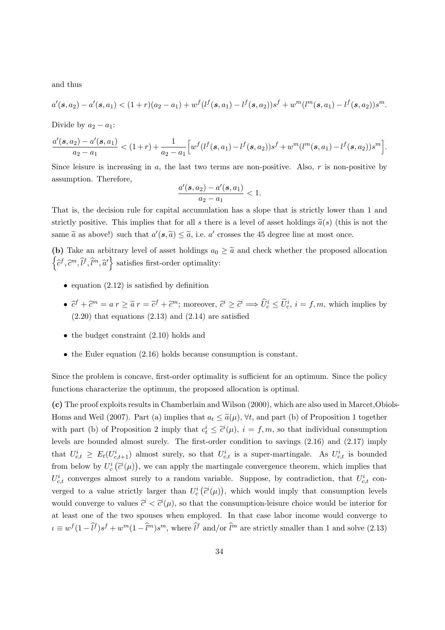and thus

$$
a'(s, a_2) - a'(s, a_1) < (1+r)(a_2 - a_1) + w^f(l^f(s, a_1) - l^f(s, a_2))s^f + w^m(l^m(s, a_1) - l^f(s, a_2))s^m.
$$

Divide by  $a_2 - a_1$ :

$$
\frac{a'(s,a_2)-a'(s,a_1)}{a_2-a_1} < (1+r) + \frac{1}{a_2-a_1} \Big[ w^f(l^f(s,a_1)-l^f(s,a_2))s^f+w^m(l^m(s,a_1)-l^f(s,a_2))s^m \Big].
$$

Since leisure is increasing in  $a$ , the last two terms are non-positive. Also,  $r$  is non-positive by assumption. Therefore,

$$
\frac{a'(s, a_2) - a'(s, a_1)}{a_2 - a_1} < 1.
$$

That is, the decision rule for capital accumulation has a slope that is strictly lower than 1 and strictly positive. This implies that for all s there is a level of asset holdings  $\tilde{a}(s)$  (this is not the same  $\tilde{a}$  as above!) such that  $a'(\mathbf{s}, \tilde{a}) \leq \tilde{a}$ , i.e. a' crosses the 45 degree line at most once.

(b) Take an arbitrary level of asset holdings  $a_0 \geq \tilde{a}$  and check whether the proposed allocation  $\left\{\widehat{c}^{f},\widehat{c}^{m},\widehat{l}^{f},\widehat{l}^{m},\widehat{a}^{ \prime}\right\}$  satisfies first-order optimality:

- equation  $(2.12)$  is satisfied by definition
- $\hat{c}^f + \hat{c}^m = a r \ge \tilde{a} r = \tilde{c}^f + \tilde{c}^m$ ; moreover,  $\hat{c}^i \ge \tilde{c}^i \Longrightarrow \hat{U}_c^i \le \tilde{U}_c^i$ ,  $i = f, m$ , which implies by  $(2.20)$  that equations  $(2.13)$  and  $(2.14)$  are satisfied
- the budget constraint  $(2.10)$  holds and
- the Euler equation (2.16) holds because consumption is constant.

Since the problem is concave, first-order optimality is sufficient for an optimum. Since the policy functions characterize the optimum, the proposed allocation is optimal.

**(c)** The proof exploits results in Chamberlain and Wilson (2000), which are also used in Marcet,Obiols-Homs and Weil (2007). Part (a) implies that  $a_t \leq \tilde{a}(\mu)$ ,  $\forall t$ , and part (b) of Proposition 1 together with part (b) of Proposition 2 imply that  $c_t^i \leq \tilde{c}^i(\mu)$ ,  $i = f, m$ , so that individual consumption levels are bounded almost surely. The first-order condition to savings (2.16) and (2.17) imply that  $U_{c,t}^i \geq E_t(U_{c,t+1}^i)$  almost surely, so that  $U_{c,t}^i$  is a super-martingale. As  $U_{c,t}^i$  is bounded from below by  $U_c^i(\tilde{c}^i(\mu))$ , we can apply the martingale convergence theorem, which implies that  $U_{c,t}^{i}$  converges almost surely to a random variable. Suppose, by contradiction, that  $U_{c,t}^{i}$  converged to a value strictly larger than  $U_c^i(\tilde{c}^i(\mu))$ , which would imply that consumption levels would converge to values  $\hat{c}^i < \hat{c}^i(\mu)$ , so that the consumption-leisure choice would be interior for at least one of the two spouses when employed. In that case labor income would converge to  $\iota \equiv w^f(1-\hat{l}^f)s^f+w^m(1-\hat{l}^m)s^m$ , where  $\hat{l}^f$  and/or  $\hat{l}^m$  are strictly smaller than 1 and solve (2.13)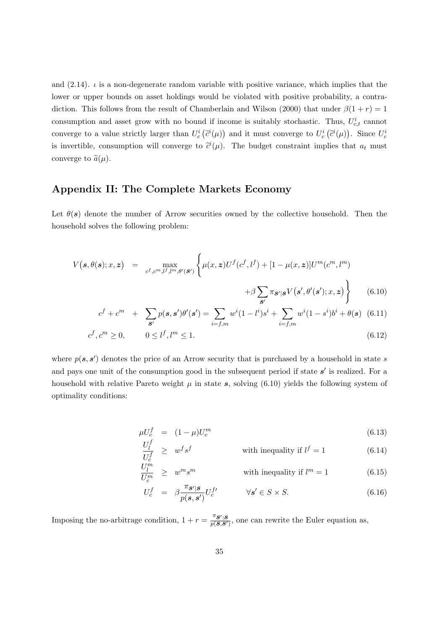and  $(2.14)$ .  $\iota$  is a non-degenerate random variable with positive variance, which implies that the lower or upper bounds on asset holdings would be violated with positive probability, a contradiction. This follows from the result of Chamberlain and Wilson (2000) that under  $\beta(1+r)=1$ consumption and asset grow with no bound if income is suitably stochastic. Thus,  $U_{c,t}^{i}$  cannot converge to a value strictly larger than  $U_c^i(\tilde{c}^i(\mu))$  and it must converge to  $U_c^i(\tilde{c}^i(\mu))$ . Since  $U_c^i$ is invertible, consumption will converge to  $\tilde{c}^i(\mu)$ . The budget constraint implies that  $a_t$  must converge to  $\tilde{a}(\mu)$ .

# **Appendix II: The Complete Markets Economy**

Let  $\theta(s)$  denote the number of Arrow securities owned by the collective household. Then the household solves the following problem:

$$
V(s,\theta(s);x,z) = \max_{c^f,c^m,l^f,l^m,\theta'(s')} \left\{ \mu(x,z)U^f(c^f,l^f) + [1-\mu(x,z)]U^m(c^m,l^m) + \beta \sum_{s'} \pi_{s'|s} V(s',\theta'(s');x,z) \right\}
$$
(6.10)

$$
c^{f} + c^{m} + \sum_{s'} p(s, s')\theta'(s') = \sum_{i=f,m} w^{i}(1 - l^{i})s^{i} + \sum_{i=f,m} w^{i}(1 - s^{i})b^{i} + \theta(s)
$$
 (6.11)

$$
c^f, c^m \ge 0, \qquad 0 \le l^f, l^m \le 1. \tag{6.12}
$$

where  $p(s, s')$  denotes the price of an Arrow security that is purchased by a household in state s and pays one unit of the consumption good in the subsequent period if state  $s'$  is realized. For a household with relative Pareto weight  $\mu$  in state  $s$ , solving (6.10) yields the following system of optimality conditions:

$$
\mu U_c^f = (1 - \mu) U_c^m \tag{6.13}
$$
\n
$$
U_c^f
$$

$$
\frac{U_l^i}{U_c^f} \geq w^f s^f \qquad \text{with inequality if } l^f = 1 \tag{6.14}
$$

$$
\frac{U_l^m}{U_c^m} \geq w^m s^m \qquad \text{with inequality if } l^m = 1 \tag{6.15}
$$

$$
U_c^f = \beta \frac{\pi_{\mathcal{S}'|\mathcal{S}}}{p(\mathcal{s}, \mathcal{s}')} U_c^{f'} \qquad \forall \mathcal{s}' \in S \times S. \tag{6.16}
$$

Imposing the no-arbitrage condition,  $1 + r = \frac{\pi s}{p(s,s')}$ , one can rewrite the Euler equation as,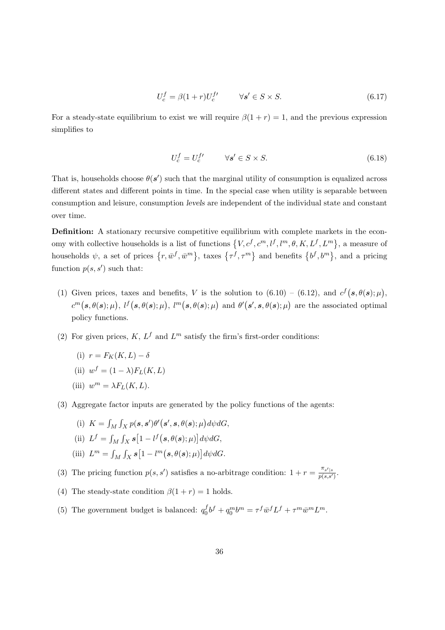$$
U_c^f = \beta (1+r) U_c^{f'} \qquad \forall s' \in S \times S. \tag{6.17}
$$

For a steady-state equilibrium to exist we will require  $\beta(1+r) = 1$ , and the previous expression simplifies to

$$
U_c^f = U_c^{f'} \qquad \forall s' \in S \times S. \tag{6.18}
$$

That is, households choose  $\theta(s')$  such that the marginal utility of consumption is equalized across different states and different points in time. In the special case when utility is separable between consumption and leisure, consumption *levels* are independent of the individual state and constant over time.

**Definition:** A stationary recursive competitive equilibrium with complete markets in the economy with collective households is a list of functions  $\{V, c^f, c^m, l^f, l^m, \theta, K, L^f, L^m\}$ , a measure of households  $\psi$ , a set of prices  $\{r, \bar{w}^f, \bar{w}^m\}$ , taxes  $\{\tau^f, \tau^m\}$  and benefits  $\{b^f, b^m\}$ , and a pricing function  $p(s, s')$  such that:

- (1) Given prices, taxes and benefits, V is the solution to  $(6.10) (6.12)$ , and  $c^f(s, \theta(s); \mu)$ ,  $c^m(s, \theta(s); \mu), l^f(s, \theta(s); \mu), l^m(s, \theta(s); \mu)$  and  $\theta'(s', s, \theta(s); \mu)$  are the associated optimal policy functions.
- (2) For given prices, K,  $L^f$  and  $L^m$  satisfy the firm's first-order conditions:
	- (i)  $r = F_K(K,L) \delta$
	- (ii)  $w^f = (1 \lambda) F_L(K, L)$
	- (iii)  $w^m = \lambda F_L(K, L)$ .
- (3) Aggregate factor inputs are generated by the policy functions of the agents:
	- (i)  $K = \int_M \int_X p(s, s') \theta'(s', s, \theta(s); \mu) d\psi dG,$
	- (ii)  $L^f = \int_M \int_X \mathbf{s} \left[1 l^f(\mathbf{s}, \theta(\mathbf{s}); \mu)\right] d\psi dG,$
	- (iii)  $L^m = \int_M \int_X s \left[1 l^m(s, \theta(s); \mu)\right] d\psi dG.$

(3) The pricing function  $p(s, s')$  satisfies a no-arbitrage condition:  $1 + r = \frac{\pi_{s'|s}}{p(s,s')}$ .

- (4) The steady-state condition  $\beta(1+r) = 1$  holds.
- (5) The government budget is balanced:  $q_0^f b^f + q_0^m b^m = \tau^f \bar{w}^f L^f + \tau^m \bar{w}^m L^m$ .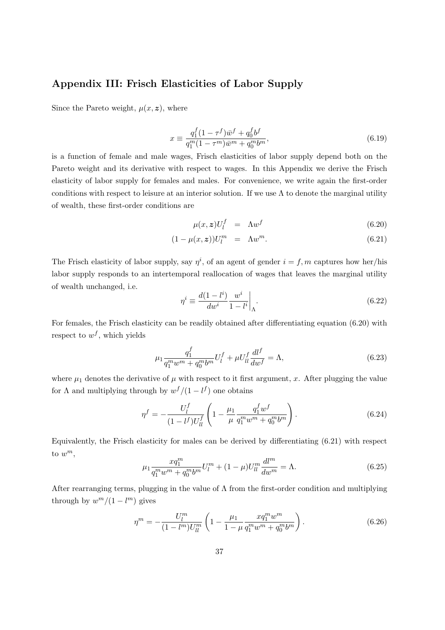# **Appendix III: Frisch Elasticities of Labor Supply**

Since the Pareto weight,  $\mu(x, z)$ , where

$$
x \equiv \frac{q_1^f (1 - \tau^f) \bar{w}^f + q_0^f b^f}{q_1^m (1 - \tau^m) \bar{w}^m + q_0^m b^m},
$$
\n(6.19)

is a function of female and male wages, Frisch elasticities of labor supply depend both on the Pareto weight and its derivative with respect to wages. In this Appendix we derive the Frisch elasticity of labor supply for females and males. For convenience, we write again the first-order conditions with respect to leisure at an interior solution. If we use  $\Lambda$  to denote the marginal utility of wealth, these first-order conditions are

$$
\mu(x, z)U_l^f = \Lambda w^f \tag{6.20}
$$

$$
(1 - \mu(x, \mathbf{z}))U_l^m = \Lambda w^m. \tag{6.21}
$$

The Frisch elasticity of labor supply, say  $\eta^i$ , of an agent of gender  $i = f, m$  captures how her/his labor supply responds to an intertemporal reallocation of wages that leaves the marginal utility of wealth unchanged, i.e.

$$
\eta^i \equiv \frac{d(1 - l^i)}{dw^i} \frac{w^i}{1 - l^i} \bigg|_{\Lambda}.
$$
\n(6.22)

For females, the Frisch elasticity can be readily obtained after differentiating equation (6.20) with respect to  $w^f$ , which yields

$$
\mu_1 \frac{q_1^f}{q_1^m w^m + q_0^m b^m} U_l^f + \mu U_{ll}^f \frac{dl^f}{dw^f} = \Lambda,
$$
\n(6.23)

where  $\mu_1$  denotes the derivative of  $\mu$  with respect to it first argument, x. After plugging the value for  $\Lambda$  and multiplying through by  $w^f/(1-l^f)$  one obtains

$$
\eta^f = -\frac{U_l^f}{(1 - l^f)U_{ll}^f} \left(1 - \frac{\mu_1}{\mu} \frac{q_1^f w^f}{q_1^m w^m + q_0^m b^m}\right). \tag{6.24}
$$

Equivalently, the Frisch elasticity for males can be derived by differentiating (6.21) with respect to  $w^m$ ,

$$
\mu_1 \frac{xq_1^m}{q_1^m w^m + q_0^m b^m} U_l^m + (1 - \mu) U_{ll}^m \frac{dl^m}{dw^m} = \Lambda.
$$
 (6.25)

After rearranging terms, plugging in the value of  $\Lambda$  from the first-order condition and multiplying through by  $w^m/(1 - l^m)$  gives

$$
\eta^{m} = -\frac{U_{l}^{m}}{(1 - l^{m})U_{ll}^{m}} \left(1 - \frac{\mu_{1}}{1 - \mu} \frac{xq_{1}^{m}w^{m}}{q_{1}^{m}w^{m} + q_{0}^{m}b^{m}}\right). \tag{6.26}
$$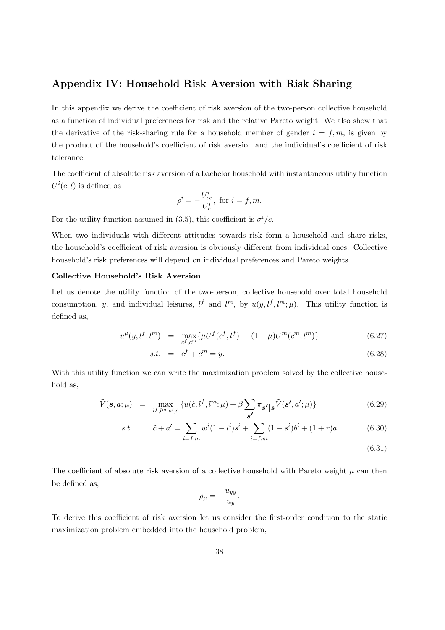# **Appendix IV: Household Risk Aversion with Risk Sharing**

In this appendix we derive the coefficient of risk aversion of the two-person collective household as a function of individual preferences for risk and the relative Pareto weight. We also show that the derivative of the risk-sharing rule for a household member of gender  $i = f, m$ , is given by the product of the household's coefficient of risk aversion and the individual's coefficient of risk tolerance.

The coefficient of absolute risk aversion of a bachelor household with instantaneous utility function  $U^{i}(c, l)$  is defined as

$$
\rho^i = -\frac{U_{cc}^i}{U_c^i}, \text{ for } i = f, m.
$$

For the utility function assumed in (3.5), this coefficient is  $\sigma^i/c$ .

When two individuals with different attitudes towards risk form a household and share risks, the household's coefficient of risk aversion is obviously different from individual ones. Collective household's risk preferences will depend on individual preferences and Pareto weights.

### **Collective Household's Risk Aversion**

Let us denote the utility function of the two-person, collective household over total household consumption, y, and individual leisures,  $l^f$  and  $l^m$ , by  $u(y, l^f, l^m; \mu)$ . This utility function is defined as,

$$
u^{\mu}(y, l^f, l^m) = \max_{c^f, c^m} \{ \mu U^f(c^f, l^f) + (1 - \mu)U^m(c^m, l^m) \}
$$
(6.27)

$$
s.t. = c^f + c^m = y. \t\t(6.28)
$$

With this utility function we can write the maximization problem solved by the collective household as,

$$
\tilde{V}(\mathbf{s}, a; \mu) = \max_{l^f, l^m, a', \tilde{c}} \{ u(\tilde{c}, l^f, l^m; \mu) + \beta \sum_{\mathbf{s'}} \pi_{\mathbf{s'}} |\mathbf{s}^{\tilde{V}}(\mathbf{s'}, a'; \mu) \}
$$
(6.29)

s.t. 
$$
\tilde{c} + a' = \sum_{i=f,m} w^i (1 - l^i) s^i + \sum_{i=f,m} (1 - s^i) b^i + (1 + r)a.
$$
 (6.30)

(6.31)

The coefficient of absolute risk aversion of a collective household with Pareto weight  $\mu$  can then be defined as,

$$
\rho_{\mu} = -\frac{u_{yy}}{u_y}.
$$

To derive this coefficient of risk aversion let us consider the first-order condition to the static maximization problem embedded into the household problem,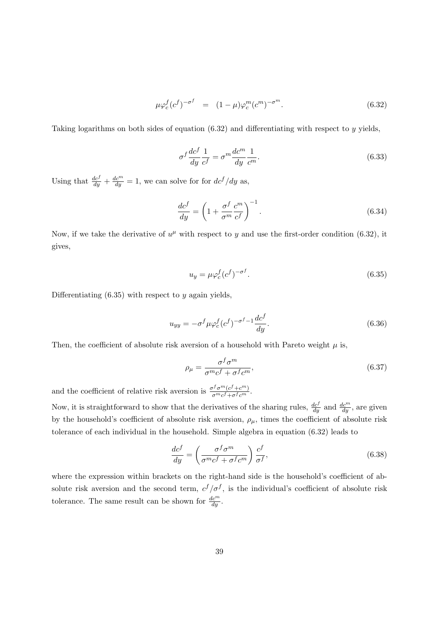$$
\mu \varphi_c^f (c^f)^{-\sigma^f} = (1 - \mu) \varphi_c^m (c^m)^{-\sigma^m}.
$$
\n(6.32)

Taking logarithms on both sides of equation  $(6.32)$  and differentiating with respect to y yields,

$$
\sigma^f \frac{dc^f}{dy} \frac{1}{c^f} = \sigma^m \frac{dc^m}{dy} \frac{1}{c^m}.
$$
\n(6.33)

Using that  $\frac{dc^f}{du} + \frac{dc^m}{du} = 1$ , we can solve for for  $dc^f/dy$  as,

$$
\frac{dc^f}{dy} = \left(1 + \frac{\sigma^f}{\sigma^m} \frac{c^m}{c^f}\right)^{-1}.\tag{6.34}
$$

Now, if we take the derivative of  $u^{\mu}$  with respect to y and use the first-order condition (6.32), it gives,

$$
u_y = \mu \varphi_c^f (c^f)^{-\sigma^f}.
$$
\n(6.35)

Differentiating  $(6.35)$  with respect to y again yields,

$$
u_{yy} = -\sigma^f \mu \varphi_c^f (c^f)^{-\sigma^f - 1} \frac{dc^f}{dy}.
$$
\n(6.36)

Then, the coefficient of absolute risk aversion of a household with Pareto weight  $\mu$  is,

$$
\rho_{\mu} = \frac{\sigma^f \sigma^m}{\sigma^m c^f + \sigma^f c^m},\tag{6.37}
$$

and the coefficient of relative risk aversion is  $\frac{\sigma^f \sigma^m (c^f + c^m)}{\sigma^m c^f + \sigma^f c^m}$ .

Now, it is straightforward to show that the derivatives of the sharing rules,  $\frac{dc^f}{du}$  and  $\frac{dc^m}{du}$ , are given by the household's coefficient of absolute risk aversion,  $\rho_{\mu}$ , times the coefficient of absolute risk tolerance of each individual in the household. Simple algebra in equation (6.32) leads to

$$
\frac{dc^f}{dy} = \left(\frac{\sigma^f \sigma^m}{\sigma^m c^f + \sigma^f c^m}\right) \frac{c^f}{\sigma^f},\tag{6.38}
$$

where the expression within brackets on the right-hand side is the household's coefficient of absolute risk aversion and the second term,  $c^f/\sigma^f$ , is the individual's coefficient of absolute risk tolerance. The same result can be shown for  $\frac{dc^m}{du}$ .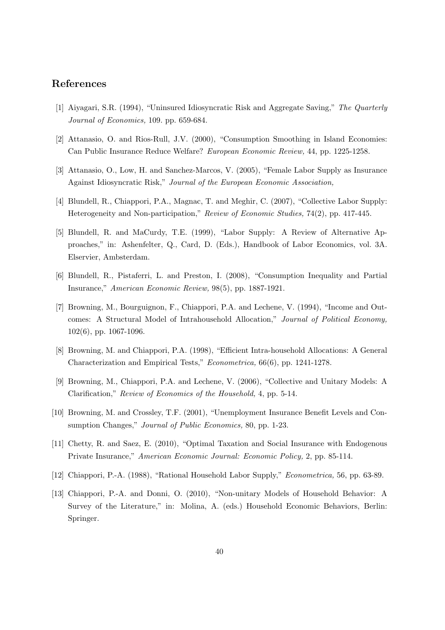### **References**

- [1] Aiyagari, S.R. (1994), "Uninsured Idiosyncratic Risk and Aggregate Saving," The Quarterly Journal of Economics, 109. pp. 659-684.
- [2] Attanasio, O. and Rios-Rull, J.V. (2000), "Consumption Smoothing in Island Economies: Can Public Insurance Reduce Welfare? European Economic Review, 44, pp. 1225-1258.
- [3] Attanasio, O., Low, H. and Sanchez-Marcos, V. (2005), "Female Labor Supply as Insurance Against Idiosyncratic Risk," Journal of the European Economic Association,
- [4] Blundell, R., Chiappori, P.A., Magnac, T. and Meghir, C. (2007), "Collective Labor Supply: Heterogeneity and Non-participation," Review of Economic Studies, 74(2), pp. 417-445.
- [5] Blundell, R. and MaCurdy, T.E. (1999), "Labor Supply: A Review of Alternative Approaches," in: Ashenfelter, Q., Card, D. (Eds.), Handbook of Labor Economics, vol. 3A. Elservier, Ambsterdam.
- [6] Blundell, R., Pistaferri, L. and Preston, I. (2008), "Consumption Inequality and Partial Insurance," American Economic Review, 98(5), pp. 1887-1921.
- [7] Browning, M., Bourguignon, F., Chiappori, P.A. and Lechene, V. (1994), "Income and Outcomes: A Structural Model of Intrahousehold Allocation," Journal of Political Economy, 102(6), pp. 1067-1096.
- [8] Browning, M. and Chiappori, P.A. (1998), "Efficient Intra-household Allocations: A General Characterization and Empirical Tests," Econometrica, 66(6), pp. 1241-1278.
- [9] Browning, M., Chiappori, P.A. and Lechene, V. (2006), "Collective and Unitary Models: A Clarification," Review of Economics of the Household, 4, pp. 5-14.
- [10] Browning, M. and Crossley, T.F. (2001), "Unemployment Insurance Benefit Levels and Consumption Changes," *Journal of Public Economics*, 80, pp. 1-23.
- [11] Chetty, R. and Saez, E. (2010), "Optimal Taxation and Social Insurance with Endogenous Private Insurance," American Economic Journal: Economic Policy, 2, pp. 85-114.
- [12] Chiappori, P.-A. (1988), "Rational Household Labor Supply," Econometrica, 56, pp. 63-89.
- [13] Chiappori, P.-A. and Donni, O. (2010), "Non-unitary Models of Household Behavior: A Survey of the Literature," in: Molina, A. (eds.) Household Economic Behaviors, Berlin: Springer.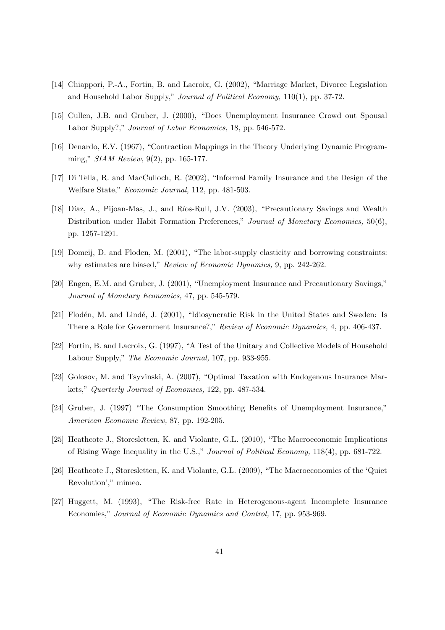- [14] Chiappori, P.-A., Fortin, B. and Lacroix, G. (2002), "Marriage Market, Divorce Legislation and Household Labor Supply," Journal of Political Economy, 110(1), pp. 37-72.
- [15] Cullen, J.B. and Gruber, J. (2000), "Does Unemployment Insurance Crowd out Spousal Labor Supply?," *Journal of Labor Economics*, 18, pp. 546-572.
- [16] Denardo, E.V. (1967), "Contraction Mappings in the Theory Underlying Dynamic Programming," SIAM Review, 9(2), pp. 165-177.
- [17] Di Tella, R. and MacCulloch, R. (2002), "Informal Family Insurance and the Design of the Welfare State," Economic Journal, 112, pp. 481-503.
- [18] Díaz, A., Pijoan-Mas, J., and Ríos-Rull, J.V. (2003), "Precautionary Savings and Wealth Distribution under Habit Formation Preferences," Journal of Monetary Economics, 50(6), pp. 1257-1291.
- [19] Domeij, D. and Floden, M. (2001), "The labor-supply elasticity and borrowing constraints: why estimates are biased," Review of Economic Dynamics, 9, pp. 242-262.
- [20] Engen, E.M. and Gruber, J. (2001), "Unemployment Insurance and Precautionary Savings," Journal of Monetary Economics, 47, pp. 545-579.
- [21] Flodén, M. and Lindé, J. (2001), "Idiosyncratic Risk in the United States and Sweden: Is There a Role for Government Insurance?," Review of Economic Dynamics, 4, pp. 406-437.
- [22] Fortin, B. and Lacroix, G. (1997), "A Test of the Unitary and Collective Models of Household Labour Supply," The Economic Journal, 107, pp. 933-955.
- [23] Golosov, M. and Tsyvinski, A. (2007), "Optimal Taxation with Endogenous Insurance Markets," Quarterly Journal of Economics, 122, pp. 487-534.
- [24] Gruber, J. (1997) "The Consumption Smoothing Benefits of Unemployment Insurance," American Economic Review, 87, pp. 192-205.
- [25] Heathcote J., Storesletten, K. and Violante, G.L. (2010), "The Macroeconomic Implications of Rising Wage Inequality in the U.S.," Journal of Political Economy, 118(4), pp. 681-722.
- [26] Heathcote J., Storesletten, K. and Violante, G.L. (2009), "The Macroeconomics of the 'Quiet Revolution'," mimeo.
- [27] Huggett, M. (1993), "The Risk-free Rate in Heterogenous-agent Incomplete Insurance Economies," Journal of Economic Dynamics and Control, 17, pp. 953-969.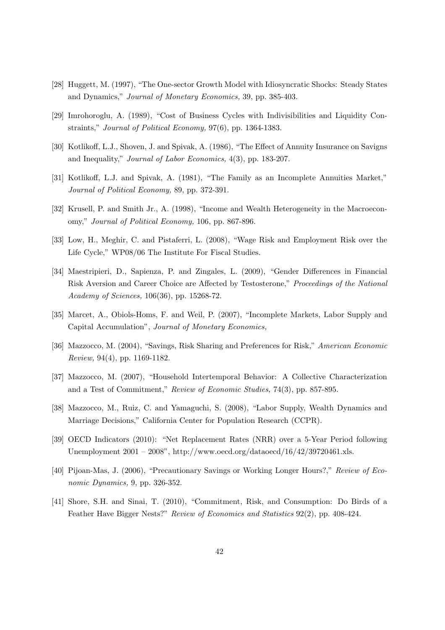- [28] Huggett, M. (1997), "The One-sector Growth Model with Idiosyncratic Shocks: Steady States and Dynamics," Journal of Monetary Economics, 39, pp. 385-403.
- [29] Imrohoroglu, A. (1989), "Cost of Business Cycles with Indivisibilities and Liquidity Constraints," Journal of Political Economy, 97(6), pp. 1364-1383.
- [30] Kotlikoff, L.J., Shoven, J. and Spivak, A. (1986), "The Effect of Annuity Insurance on Savigns and Inequality," Journal of Labor Economics, 4(3), pp. 183-207.
- [31] Kotlikoff, L.J. and Spivak, A. (1981), "The Family as an Incomplete Annuities Market," Journal of Political Economy, 89, pp. 372-391.
- [32] Krusell, P. and Smith Jr., A. (1998), "Income and Wealth Heterogeneity in the Macroeconomy," Journal of Political Economy, 106, pp. 867-896.
- [33] Low, H., Meghir, C. and Pistaferri, L. (2008), "Wage Risk and Employment Risk over the Life Cycle," WP08/06 The Institute For Fiscal Studies.
- [34] Maestripieri, D., Sapienza, P. and Zingales, L. (2009), "Gender Differences in Financial Risk Aversion and Career Choice are Affected by Testosterone," Proceedings of the National Academy of Sciences, 106(36), pp. 15268-72.
- [35] Marcet, A., Obiols-Homs, F. and Weil, P. (2007), "Incomplete Markets, Labor Supply and Capital Accumulation", Journal of Monetary Economics,
- [36] Mazzocco, M. (2004), "Savings, Risk Sharing and Preferences for Risk," American Economic Review, 94(4), pp. 1169-1182.
- [37] Mazzocco, M. (2007), "Household Intertemporal Behavior: A Collective Characterization and a Test of Commitment," Review of Economic Studies, 74(3), pp. 857-895.
- [38] Mazzocco, M., Ruiz, C. and Yamaguchi, S. (2008), "Labor Supply, Wealth Dynamics and Marriage Decisions," California Center for Population Research (CCPR).
- [39] OECD Indicators (2010): "Net Replacement Rates (NRR) over a 5-Year Period following Unemployment 2001 – 2008", http://www.oecd.org/dataoecd/16/42/39720461.xls.
- [40] Pijoan-Mas, J. (2006), "Precautionary Savings or Working Longer Hours?," Review of Economic Dynamics, 9, pp. 326-352.
- [41] Shore, S.H. and Sinai, T. (2010), "Commitment, Risk, and Consumption: Do Birds of a Feather Have Bigger Nests?" Review of Economics and Statistics 92(2), pp. 408-424.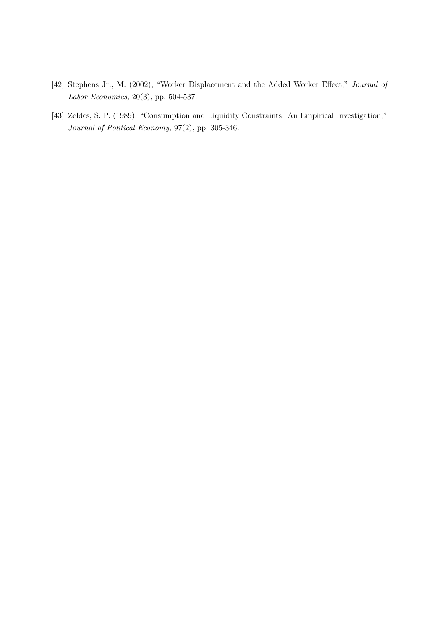- [42] Stephens Jr., M. (2002), "Worker Displacement and the Added Worker Effect," Journal of Labor Economics, 20(3), pp. 504-537.
- [43] Zeldes, S. P. (1989), "Consumption and Liquidity Constraints: An Empirical Investigation," Journal of Political Economy, 97(2), pp. 305-346.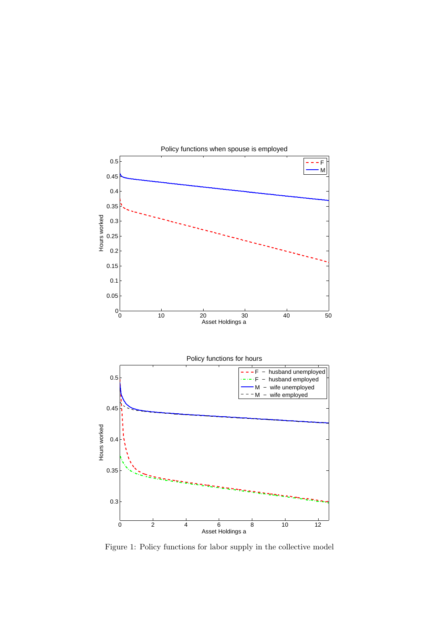

Figure 1: Policy functions for labor supply in the collective model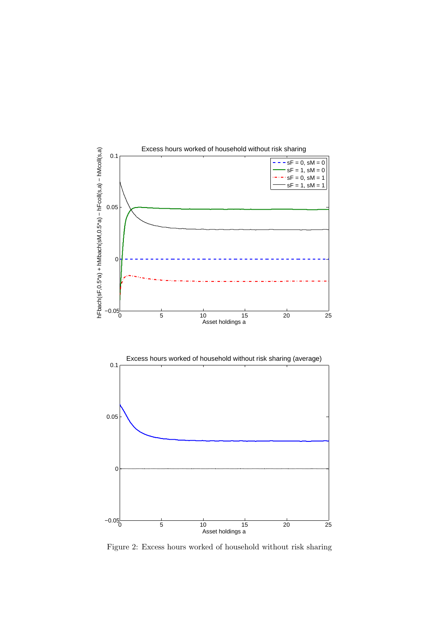

Figure 2: Excess hours worked of household without risk sharing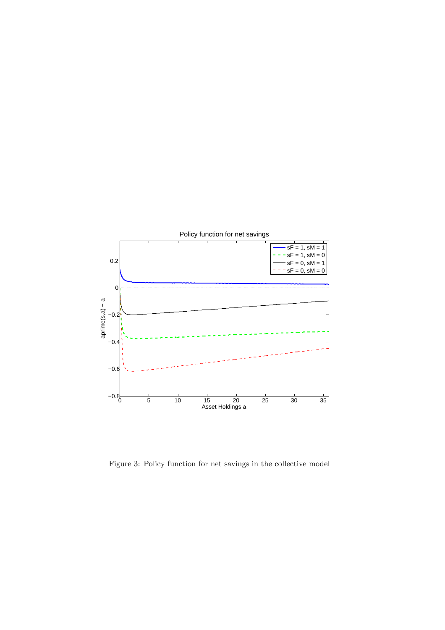

Figure 3: Policy function for net savings in the collective model